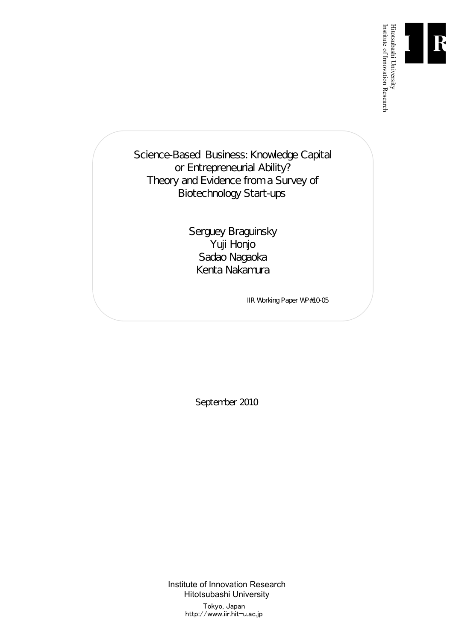

Institute of Innovation Research

Science-Based Business: Knowledge Capital or Entrepreneurial Ability? Theory and Evidence from a Survey of Biotechnology Start-ups

> Serguey Braguinsky Yuji Honjo Sadao Nagaoka Kenta Nakamura

> > IIR Working Paper WP#10-05

September 2010

Institute of Innovation Research Hitotsubashi University Tokyo, Japan

http://www.iir.hit-u.ac.jp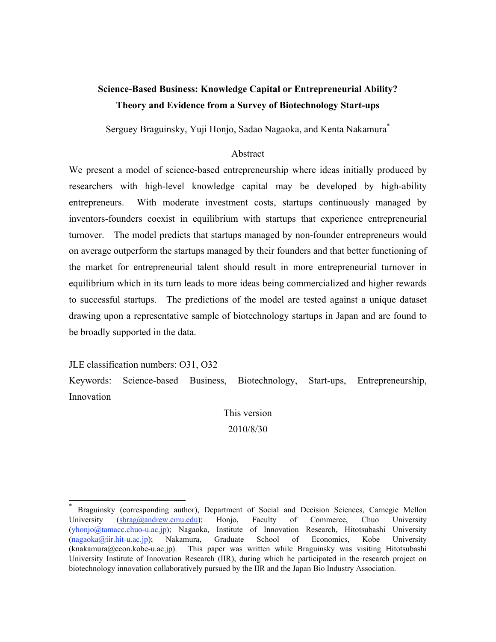# **Science-Based Business: Knowledge Capital or Entrepreneurial Ability? Theory and Evidence from a Survey of Biotechnology Start-ups**

Serguey Braguinsky, Yuji Honjo, Sadao Nagaoka, and Kenta Nakamura<sup>\*</sup>

### Abstract

We present a model of science-based entrepreneurship where ideas initially produced by researchers with high-level knowledge capital may be developed by high-ability entrepreneurs. With moderate investment costs, startups continuously managed by inventors-founders coexist in equilibrium with startups that experience entrepreneurial turnover. The model predicts that startups managed by non-founder entrepreneurs would on average outperform the startups managed by their founders and that better functioning of the market for entrepreneurial talent should result in more entrepreneurial turnover in equilibrium which in its turn leads to more ideas being commercialized and higher rewards to successful startups. The predictions of the model are tested against a unique dataset drawing upon a representative sample of biotechnology startups in Japan and are found to be broadly supported in the data.

JLE classification numbers: O31, O32

Keywords: Science-based Business, Biotechnology, Start-ups, Entrepreneurship, Innovation

> This version 2010/8/30

Braguinsky (corresponding author), Department of Social and Decision Sciences, Carnegie Mellon University (sbrag@andrew.cmu.edu); Honjo, Faculty of Commerce, Chuo University (yhonjo@tamacc.chuo-u.ac.jp); Nagaoka, Institute of Innovation Research, Hitotsubashi University  $(nagaoka@iii.hit-u.ac.jp);$  Nakamura, Graduate School of Economics, Kobe University (knakamura@econ.kobe-u.ac.jp). This paper was written while Braguinsky was visiting Hitotsubashi University Institute of Innovation Research (IIR), during which he participated in the research project on biotechnology innovation collaboratively pursued by the IIR and the Japan Bio Industry Association.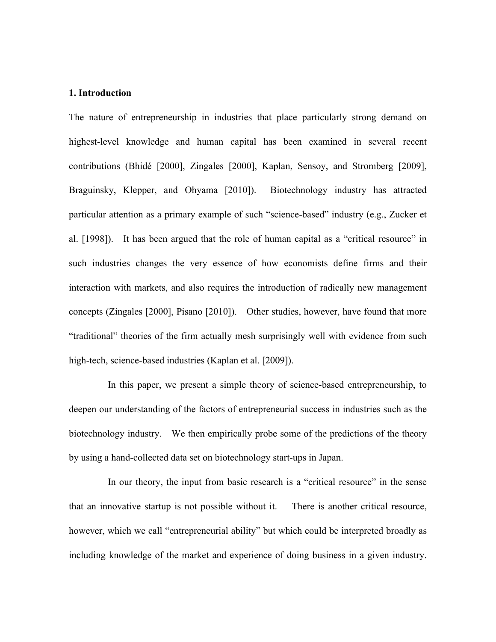#### **1. Introduction**

The nature of entrepreneurship in industries that place particularly strong demand on highest-level knowledge and human capital has been examined in several recent contributions (Bhidé [2000], Zingales [2000], Kaplan, Sensoy, and Stromberg [2009], Braguinsky, Klepper, and Ohyama [2010]). Biotechnology industry has attracted particular attention as a primary example of such "science-based" industry (e.g., Zucker et al. [1998]). It has been argued that the role of human capital as a "critical resource" in such industries changes the very essence of how economists define firms and their interaction with markets, and also requires the introduction of radically new management concepts (Zingales [2000], Pisano [2010]). Other studies, however, have found that more "traditional" theories of the firm actually mesh surprisingly well with evidence from such high-tech, science-based industries (Kaplan et al. [2009]).

In this paper, we present a simple theory of science-based entrepreneurship, to deepen our understanding of the factors of entrepreneurial success in industries such as the biotechnology industry. We then empirically probe some of the predictions of the theory by using a hand-collected data set on biotechnology start-ups in Japan.

In our theory, the input from basic research is a "critical resource" in the sense that an innovative startup is not possible without it. There is another critical resource, however, which we call "entrepreneurial ability" but which could be interpreted broadly as including knowledge of the market and experience of doing business in a given industry.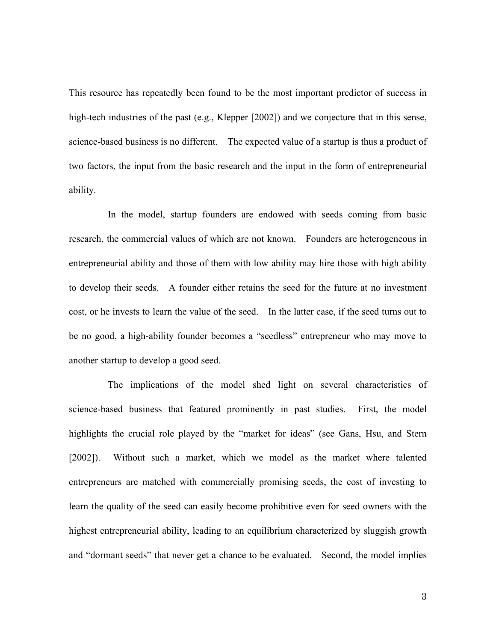This resource has repeatedly been found to be the most important predictor of success in high-tech industries of the past (e.g., Klepper [2002]) and we conjecture that in this sense, science-based business is no different. The expected value of a startup is thus a product of two factors, the input from the basic research and the input in the form of entrepreneurial ability.

In the model, startup founders are endowed with seeds coming from basic research, the commercial values of which are not known. Founders are heterogeneous in entrepreneurial ability and those of them with low ability may hire those with high ability to develop their seeds. A founder either retains the seed for the future at no investment cost, or he invests to learn the value of the seed. In the latter case, if the seed turns out to be no good, a high-ability founder becomes a "seedless" entrepreneur who may move to another startup to develop a good seed.

The implications of the model shed light on several characteristics of science-based business that featured prominently in past studies. First, the model highlights the crucial role played by the "market for ideas" (see Gans, Hsu, and Stern [2002]). Without such a market, which we model as the market where talented entrepreneurs are matched with commercially promising seeds, the cost of investing to learn the quality of the seed can easily become prohibitive even for seed owners with the highest entrepreneurial ability, leading to an equilibrium characterized by sluggish growth and "dormant seeds" that never get a chance to be evaluated. Second, the model implies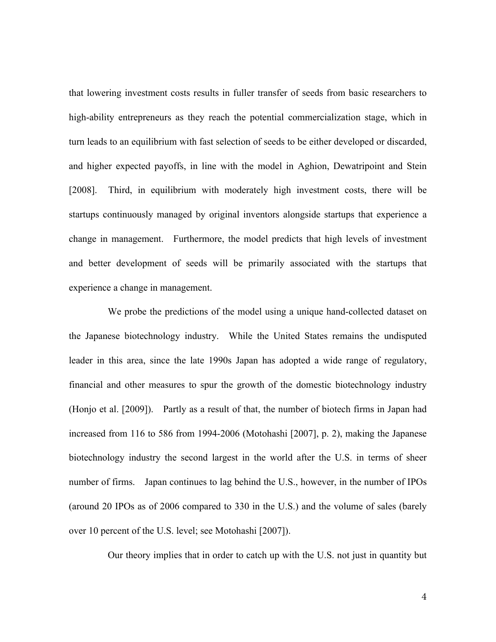that lowering investment costs results in fuller transfer of seeds from basic researchers to high-ability entrepreneurs as they reach the potential commercialization stage, which in turn leads to an equilibrium with fast selection of seeds to be either developed or discarded, and higher expected payoffs, in line with the model in Aghion, Dewatripoint and Stein [2008]. Third, in equilibrium with moderately high investment costs, there will be startups continuously managed by original inventors alongside startups that experience a change in management. Furthermore, the model predicts that high levels of investment and better development of seeds will be primarily associated with the startups that experience a change in management.

We probe the predictions of the model using a unique hand-collected dataset on the Japanese biotechnology industry. While the United States remains the undisputed leader in this area, since the late 1990s Japan has adopted a wide range of regulatory, financial and other measures to spur the growth of the domestic biotechnology industry (Honjo et al. [2009]). Partly as a result of that, the number of biotech firms in Japan had increased from 116 to 586 from 1994-2006 (Motohashi [2007], p. 2), making the Japanese biotechnology industry the second largest in the world after the U.S. in terms of sheer number of firms. Japan continues to lag behind the U.S., however, in the number of IPOs (around 20 IPOs as of 2006 compared to 330 in the U.S.) and the volume of sales (barely over 10 percent of the U.S. level; see Motohashi [2007]).

Our theory implies that in order to catch up with the U.S. not just in quantity but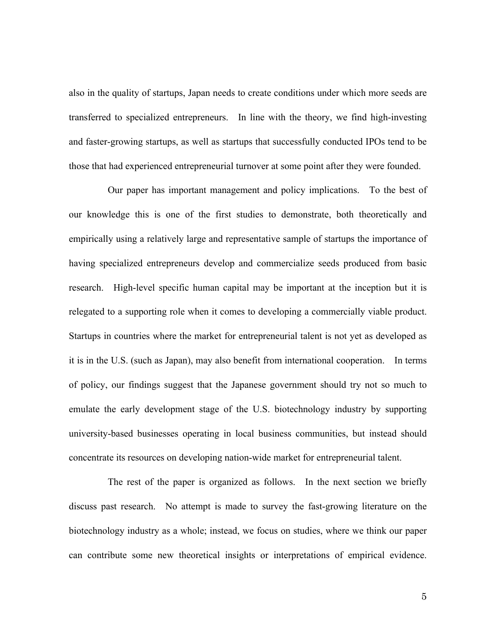also in the quality of startups, Japan needs to create conditions under which more seeds are transferred to specialized entrepreneurs. In line with the theory, we find high-investing and faster-growing startups, as well as startups that successfully conducted IPOs tend to be those that had experienced entrepreneurial turnover at some point after they were founded.

Our paper has important management and policy implications. To the best of our knowledge this is one of the first studies to demonstrate, both theoretically and empirically using a relatively large and representative sample of startups the importance of having specialized entrepreneurs develop and commercialize seeds produced from basic research. High-level specific human capital may be important at the inception but it is relegated to a supporting role when it comes to developing a commercially viable product. Startups in countries where the market for entrepreneurial talent is not yet as developed as it is in the U.S. (such as Japan), may also benefit from international cooperation. In terms of policy, our findings suggest that the Japanese government should try not so much to emulate the early development stage of the U.S. biotechnology industry by supporting university-based businesses operating in local business communities, but instead should concentrate its resources on developing nation-wide market for entrepreneurial talent.

The rest of the paper is organized as follows. In the next section we briefly discuss past research. No attempt is made to survey the fast-growing literature on the biotechnology industry as a whole; instead, we focus on studies, where we think our paper can contribute some new theoretical insights or interpretations of empirical evidence.

 $5^{\circ}$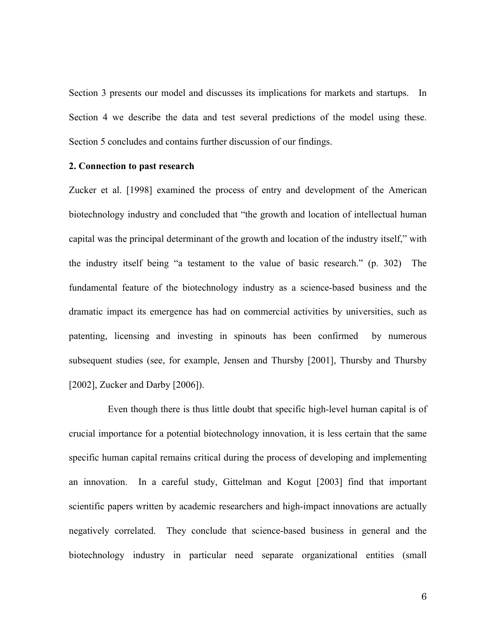Section 3 presents our model and discusses its implications for markets and startups. In Section 4 we describe the data and test several predictions of the model using these. Section 5 concludes and contains further discussion of our findings.

# **2. Connection to past research**

Zucker et al. [1998] examined the process of entry and development of the American biotechnology industry and concluded that "the growth and location of intellectual human capital was the principal determinant of the growth and location of the industry itself," with the industry itself being "a testament to the value of basic research." (p. 302) The fundamental feature of the biotechnology industry as a science-based business and the dramatic impact its emergence has had on commercial activities by universities, such as patenting, licensing and investing in spinouts has been confirmed by numerous subsequent studies (see, for example, Jensen and Thursby [2001], Thursby and Thursby [2002], Zucker and Darby [2006]).

Even though there is thus little doubt that specific high-level human capital is of crucial importance for a potential biotechnology innovation, it is less certain that the same specific human capital remains critical during the process of developing and implementing an innovation. In a careful study, Gittelman and Kogut [2003] find that important scientific papers written by academic researchers and high-impact innovations are actually negatively correlated. They conclude that science-based business in general and the biotechnology industry in particular need separate organizational entities (small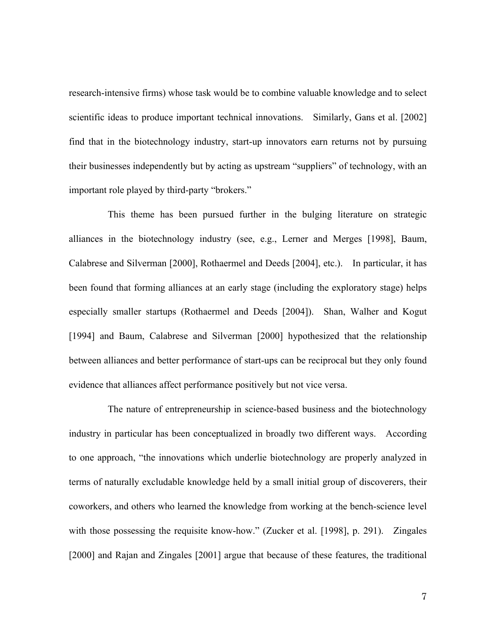research-intensive firms) whose task would be to combine valuable knowledge and to select scientific ideas to produce important technical innovations. Similarly, Gans et al. [2002] find that in the biotechnology industry, start-up innovators earn returns not by pursuing their businesses independently but by acting as upstream "suppliers" of technology, with an important role played by third-party "brokers."

This theme has been pursued further in the bulging literature on strategic alliances in the biotechnology industry (see, e.g., Lerner and Merges [1998], Baum, Calabrese and Silverman [2000], Rothaermel and Deeds [2004], etc.). In particular, it has been found that forming alliances at an early stage (including the exploratory stage) helps especially smaller startups (Rothaermel and Deeds [2004]). Shan, Walher and Kogut [1994] and Baum, Calabrese and Silverman [2000] hypothesized that the relationship between alliances and better performance of start-ups can be reciprocal but they only found evidence that alliances affect performance positively but not vice versa.

The nature of entrepreneurship in science-based business and the biotechnology industry in particular has been conceptualized in broadly two different ways. According to one approach, "the innovations which underlie biotechnology are properly analyzed in terms of naturally excludable knowledge held by a small initial group of discoverers, their coworkers, and others who learned the knowledge from working at the bench-science level with those possessing the requisite know-how." (Zucker et al. [1998], p. 291). Zingales [2000] and Rajan and Zingales [2001] argue that because of these features, the traditional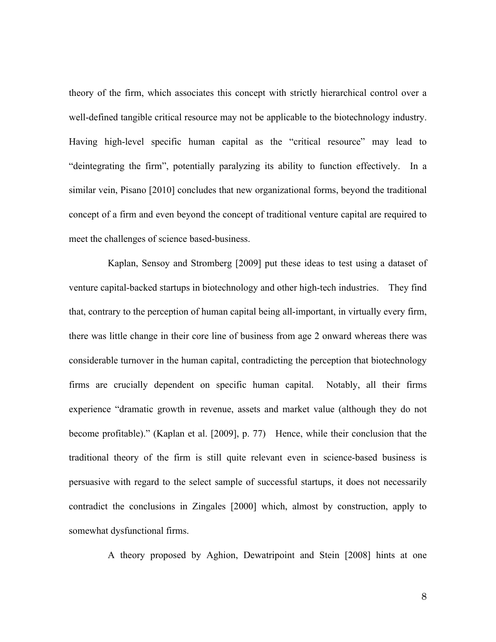theory of the firm, which associates this concept with strictly hierarchical control over a well-defined tangible critical resource may not be applicable to the biotechnology industry. Having high-level specific human capital as the "critical resource" may lead to "deintegrating the firm", potentially paralyzing its ability to function effectively. In a similar vein, Pisano [2010] concludes that new organizational forms, beyond the traditional concept of a firm and even beyond the concept of traditional venture capital are required to meet the challenges of science based-business.

Kaplan, Sensoy and Stromberg [2009] put these ideas to test using a dataset of venture capital-backed startups in biotechnology and other high-tech industries. They find that, contrary to the perception of human capital being all-important, in virtually every firm, there was little change in their core line of business from age 2 onward whereas there was considerable turnover in the human capital, contradicting the perception that biotechnology firms are crucially dependent on specific human capital. Notably, all their firms experience "dramatic growth in revenue, assets and market value (although they do not become profitable)." (Kaplan et al. [2009], p. 77) Hence, while their conclusion that the traditional theory of the firm is still quite relevant even in science-based business is persuasive with regard to the select sample of successful startups, it does not necessarily contradict the conclusions in Zingales [2000] which, almost by construction, apply to somewhat dysfunctional firms.

A theory proposed by Aghion, Dewatripoint and Stein [2008] hints at one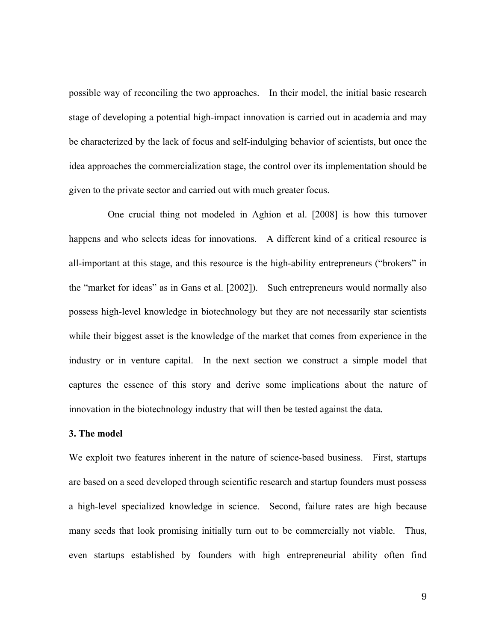possible way of reconciling the two approaches. In their model, the initial basic research stage of developing a potential high-impact innovation is carried out in academia and may be characterized by the lack of focus and self-indulging behavior of scientists, but once the idea approaches the commercialization stage, the control over its implementation should be given to the private sector and carried out with much greater focus.

One crucial thing not modeled in Aghion et al. [2008] is how this turnover happens and who selects ideas for innovations. A different kind of a critical resource is all-important at this stage, and this resource is the high-ability entrepreneurs ("brokers" in the "market for ideas" as in Gans et al. [2002]). Such entrepreneurs would normally also possess high-level knowledge in biotechnology but they are not necessarily star scientists while their biggest asset is the knowledge of the market that comes from experience in the industry or in venture capital. In the next section we construct a simple model that captures the essence of this story and derive some implications about the nature of innovation in the biotechnology industry that will then be tested against the data.

# **3. The model**

We exploit two features inherent in the nature of science-based business. First, startups are based on a seed developed through scientific research and startup founders must possess a high-level specialized knowledge in science. Second, failure rates are high because many seeds that look promising initially turn out to be commercially not viable. Thus, even startups established by founders with high entrepreneurial ability often find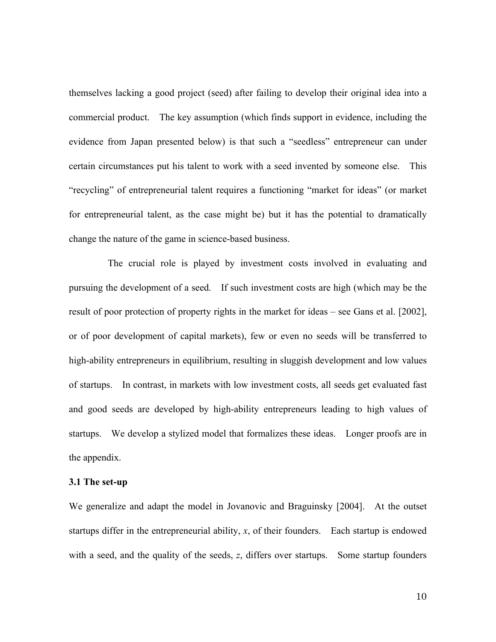themselves lacking a good project (seed) after failing to develop their original idea into a commercial product. The key assumption (which finds support in evidence, including the evidence from Japan presented below) is that such a "seedless" entrepreneur can under certain circumstances put his talent to work with a seed invented by someone else. This "recycling" of entrepreneurial talent requires a functioning "market for ideas" (or market for entrepreneurial talent, as the case might be) but it has the potential to dramatically change the nature of the game in science-based business.

The crucial role is played by investment costs involved in evaluating and pursuing the development of a seed. If such investment costs are high (which may be the result of poor protection of property rights in the market for ideas – see Gans et al. [2002], or of poor development of capital markets), few or even no seeds will be transferred to high-ability entrepreneurs in equilibrium, resulting in sluggish development and low values of startups. In contrast, in markets with low investment costs, all seeds get evaluated fast and good seeds are developed by high-ability entrepreneurs leading to high values of startups. We develop a stylized model that formalizes these ideas. Longer proofs are in the appendix.

#### **3.1 The set-up**

We generalize and adapt the model in Jovanovic and Braguinsky [2004]. At the outset startups differ in the entrepreneurial ability, *x*, of their founders. Each startup is endowed with a seed, and the quality of the seeds, *z*, differs over startups. Some startup founders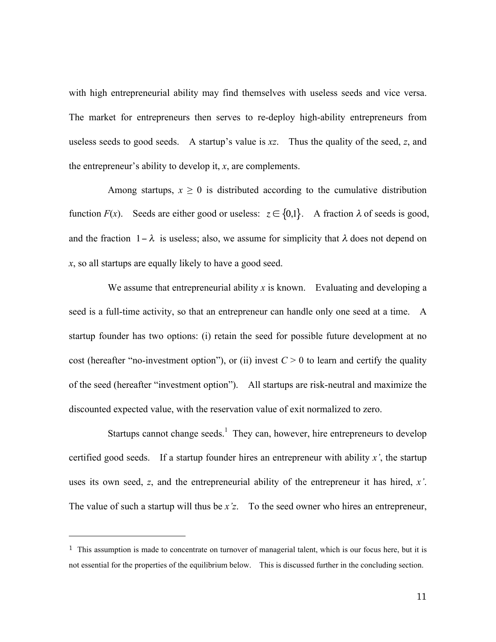with high entrepreneurial ability may find themselves with useless seeds and vice versa. The market for entrepreneurs then serves to re-deploy high-ability entrepreneurs from useless seeds to good seeds. A startup's value is *xz*. Thus the quality of the seed, *z*, and the entrepreneur's ability to develop it, *x*, are complements.

Among startups,  $x \geq 0$  is distributed according to the cumulative distribution function  $F(x)$ . Seeds are either good or useless:  $z \in \{0,1\}$ . A fraction  $\lambda$  of seeds is good, and the fraction  $1 - \lambda$  is useless; also, we assume for simplicity that  $\lambda$  does not depend on *x*, so all startups are equally likely to have a good seed.

We assume that entrepreneurial ability  $x$  is known. Evaluating and developing a seed is a full-time activity, so that an entrepreneur can handle only one seed at a time. A startup founder has two options: (i) retain the seed for possible future development at no cost (hereafter "no-investment option"), or (ii) invest  $C > 0$  to learn and certify the quality of the seed (hereafter "investment option"). All startups are risk-neutral and maximize the discounted expected value, with the reservation value of exit normalized to zero.

Startups cannot change seeds.<sup>1</sup> They can, however, hire entrepreneurs to develop certified good seeds. If a startup founder hires an entrepreneur with ability *x'*, the startup uses its own seed, *z*, and the entrepreneurial ability of the entrepreneur it has hired, *x'*. The value of such a startup will thus be *x'z*. To the seed owner who hires an entrepreneur,

<sup>&</sup>lt;sup>1</sup> This assumption is made to concentrate on turnover of managerial talent, which is our focus here, but it is not essential for the properties of the equilibrium below. This is discussed further in the concluding section.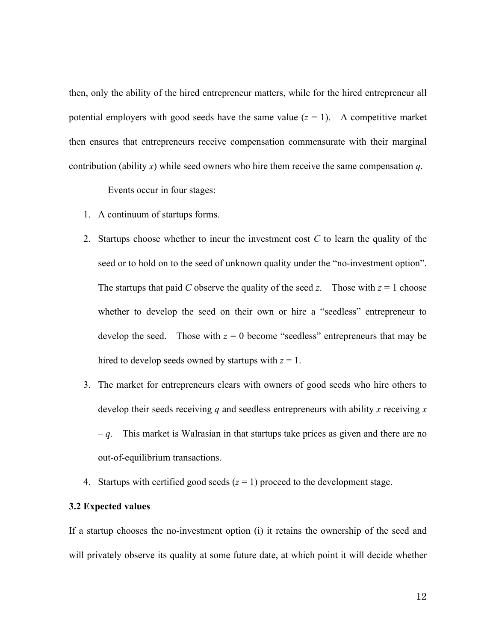then, only the ability of the hired entrepreneur matters, while for the hired entrepreneur all potential employers with good seeds have the same value  $(z = 1)$ . A competitive market then ensures that entrepreneurs receive compensation commensurate with their marginal contribution (ability *x*) while seed owners who hire them receive the same compensation *q*.

Events occur in four stages:

- 1. A continuum of startups forms.
- 2. Startups choose whether to incur the investment cost *C* to learn the quality of the seed or to hold on to the seed of unknown quality under the "no-investment option". The startups that paid *C* observe the quality of the seed *z*. Those with  $z = 1$  choose whether to develop the seed on their own or hire a "seedless" entrepreneur to develop the seed. Those with  $z = 0$  become "seedless" entrepreneurs that may be hired to develop seeds owned by startups with  $z = 1$ .
- 3. The market for entrepreneurs clears with owners of good seeds who hire others to develop their seeds receiving *q* and seedless entrepreneurs with ability *x* receiving *x*  $-q$ . This market is Walrasian in that startups take prices as given and there are no out-of-equilibrium transactions.
- 4. Startups with certified good seeds  $(z = 1)$  proceed to the development stage.

## **3.2 Expected values**

If a startup chooses the no-investment option (i) it retains the ownership of the seed and will privately observe its quality at some future date, at which point it will decide whether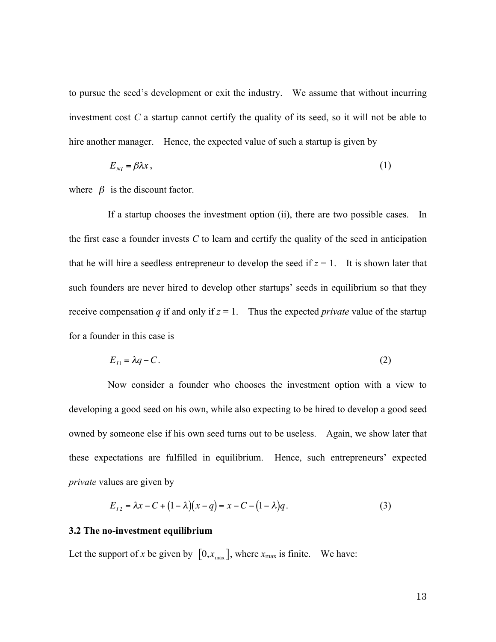to pursue the seed's development or exit the industry. We assume that without incurring investment cost *C* a startup cannot certify the quality of its seed, so it will not be able to hire another manager. Hence, the expected value of such a startup is given by

$$
E_{\rm M} = \beta \lambda x \,, \tag{1}
$$

where  $\beta$  is the discount factor.

If a startup chooses the investment option (ii), there are two possible cases. In the first case a founder invests *C* to learn and certify the quality of the seed in anticipation that he will hire a seedless entrepreneur to develop the seed if  $z = 1$ . It is shown later that such founders are never hired to develop other startups' seeds in equilibrium so that they receive compensation *q* if and only if  $z = 1$ . Thus the expected *private* value of the startup for a founder in this case is

$$
E_{11} = \lambda q - C. \tag{2}
$$

developing a good seed on his own, while also expecting to be hired to develop a good seed Now consider a founder who chooses the investment option with a view to owned by someone else if his own seed turns out to be useless. Again, we show later that these expectations are fulfilled in equilibrium. Hence, such entrepreneurs' expected *private* values are given by

$$
E_{12} = \lambda x - C + (1 - \lambda)(x - q) = x - C - (1 - \lambda)q.
$$
 (3)

#### **3.2 The no-investment equilibrium**

Let the support of *x* be given by  $[0, x_{\text{max}}]$ , where  $x_{\text{max}}$  is finite. We have: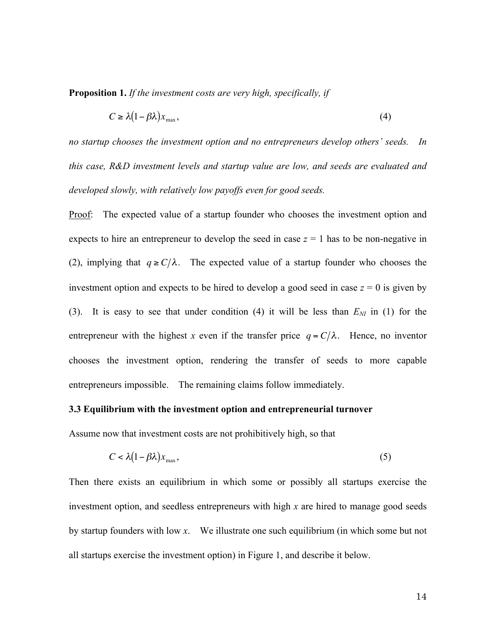**Proposition 1.** *If the investment costs are very high, specifically, if*

$$
C \ge \lambda (1 - \beta \lambda) x_{\text{max}}, \tag{4}
$$

€ *this case, R&D investment levels and startup value are low, and seeds are evaluated and no startup chooses the investment option and no entrepreneurs develop others' seeds. In developed slowly, with relatively low payoffs even for good seeds.*

Proof: The expected value of a startup founder who chooses the investment option and expects to hire an entrepreneur to develop the seed in case  $z = 1$  has to be non-negative in (2), implying that  $q \ge C/\lambda$ . The expected value of a startup founder who chooses the (3). It is easy to see that under condition (4) it will be less than  $E_{NI}$  in (1) for the investment option and expects to be hired to develop a good seed in case  $z = 0$  is given by entrepreneur with the highest *x* even if the transfer price  $q = C/\lambda$ . Hence, no inventor entrepreneurs impossible. The remaining claims follow immediately. chooses the investment option, rendering the transfer of seeds to more capable

## **3.3 Equilibrium with the investment option and entrepreneurial turnover**

Assume now that investment costs are not prohibitively high, so that

$$
C < \lambda \left(1 - \beta \lambda\right) x_{\text{max}},\tag{5}
$$

investment option, and seedless entrepreneurs with high  $x$  are hired to manage good seeds Then there exists an equilibrium in which some or possibly all startups exercise the by startup founders with low *x*. We illustrate one such equilibrium (in which some but not all startups exercise the investment option) in Figure 1, and describe it below.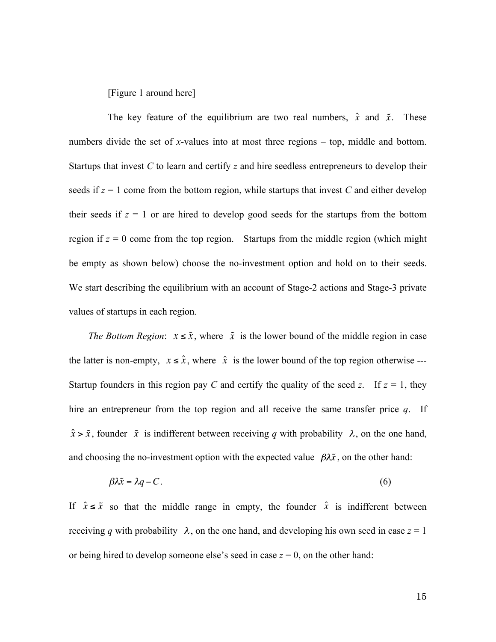[Figure 1 around here]

The key feature of the equilibrium are two real numbers,  $\hat{x}$  and  $\tilde{x}$ . These numbers divide the set of *x*-values into at most three regions – top, middle and bottom. Startups that invest *C* to learn and certify *z* and hire seedless entrepreneurs to develop their seeds if  $z = 1$  come from the bottom region, while startups that invest *C* and either develop their seeds if  $z = 1$  or are hired to develop good seeds for the startups from the bottom region if  $z = 0$  come from the top region. Startups from the middle region (which might be empty as shown below) choose the no-investment option and hold on to their seeds. We start describing the equilibrium with an account of Stage-2 actions and Stage-3 private values of startups in each region.

*The Bottom Region*:  $x \leq \tilde{x}$ , where  $\tilde{x}$  is the lower bound of the middle region in case Startup founders in this region pay *C* and certify the quality of the seed *z*. If  $z = 1$ , they the latter is non-empty,  $x \leq \hat{x}$ , where  $\hat{x}$  is the lower bound of the top region otherwise --eneur from the hire an entrepreneur from the top region and all receive the same transfer price *q*. If , founder  $\tilde{x}$  is indifferent between receiving *q* with probability  $\lambda$ , on the one hand, and choosing the no-investment option with the expected value  $\beta \lambda \tilde{x}$ , on the other hand:

$$
\beta \lambda \tilde{x} = \lambda q - C. \tag{6}
$$

receiving q with probability  $\lambda$ , on the one hand, and developing his own seed in case  $z = 1$ If  $\hat{x} \leq \tilde{x}$  so that the middle range in empty, the founder  $\hat{x}$  is indifferent between or being hired to develop someone else's seed in case  $z = 0$ , on the other hand: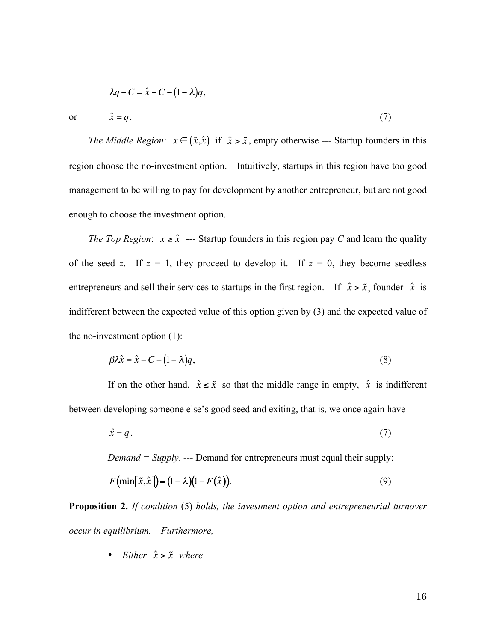$$
\lambda q - C = \hat{x} - C - (1 - \lambda)q,
$$
  

$$
\hat{x} = q.
$$
 (7)

or

region choose the no-investment option. Intuitively, startups in this region have too good *The Middle Region:*  $x \in (\tilde{x}, \hat{x})$  if  $\hat{x} > \tilde{x}$ , empty otherwise --- Startup founders in this management to be willing to pay for development by another entrepreneur, but are not good enough to choose the investment option.

*The Top Region*:  $x \ge \hat{x}$  --- Startup founders in this region pay *C* and learn the quality of the seed *z*. If  $z = 1$ , they proceed to develop it. If  $z = 0$ , they become seedless entrepreneurs and sell their services to startups in the first region. If  $\hat{x} > \tilde{x}$ , founder  $\hat{x}$  is indifferent between the expected value of this option given by (3) and the expected value of the no-investment option (1):

$$
\beta \lambda \hat{x} = \hat{x} - C - (1 - \lambda)q,\tag{8}
$$

between developing someone else's good seed and exiting, that is, we once again have If on the other hand,  $\hat{x} \leq \tilde{x}$  so that the middle range in empty,  $\hat{x}$  is indifferent

$$
\hat{x} = q. \tag{7}
$$

*Demand = Supply*. --- Demand for entrepreneurs must equal their supply:

$$
F\left(\min\left[\tilde{x},\hat{x}\right]\right) = \left(1 - \lambda\right)\left(1 - F\left(\hat{x}\right)\right). \tag{9}
$$

**Proposition 2.** *If condition* (5) *holds, the investment option and entrepreneurial turnover occur in equilibrium. Furthermore,*

• *Either*  $\hat{x} > \tilde{x}$  where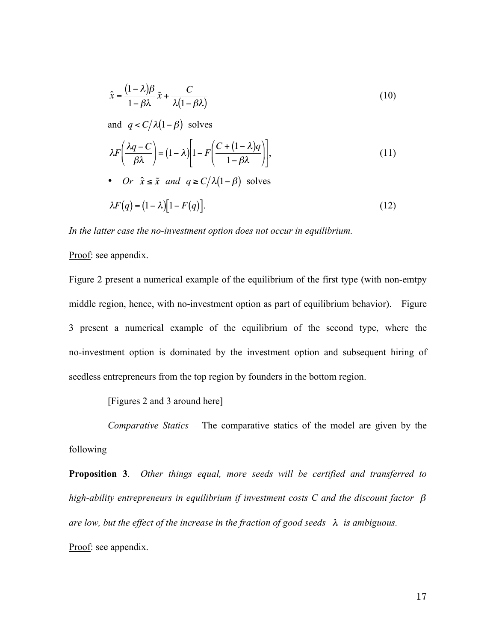$$
\hat{x} = \frac{(1 - \lambda)\beta}{1 - \beta\lambda}\tilde{x} + \frac{C}{\lambda(1 - \beta\lambda)}
$$
\n(10)

and  $q < C/\lambda(1-\beta)$  solves

$$
\lambda F\left(\frac{\lambda q - C}{\beta \lambda}\right) = (1 - \lambda) \left[1 - F\left(\frac{C + (1 - \lambda)q}{1 - \beta \lambda}\right)\right],\tag{11}
$$

• *Or*  $\hat{x} \leq \tilde{x}$  *and*  $q \geq C/\lambda(1-\beta)$  solves

$$
\lambda F(q) = (1 - \lambda)[1 - F(q)]. \tag{12}
$$

€ *In the latter case the no-investment option does not occur in equilibrium.*

Proof: see appendix.

Figure 2 present a numerical example of the equilibrium of the first type (with non-emtpy middle region, hence, with no-investment option as part of equilibrium behavior). Figure 3 present a numerical example of the equilibrium of the second type, where the no-investment option is dominated by the investment option and subsequent hiring of seedless entrepreneurs from the top region by founders in the bottom region.

[Figures 2 and 3 around here]

*Comparative Statics –* The comparative statics of the model are given by the following

**Proposition 3**. *Other things equal, more seeds will be certified and transferred to high-ability entrepreneurs in equilibrium if investment costs C and the discount factor are low, but the effect of the increase in the fraction of good seeds*  $\lambda$  *is ambiguous.* Proof: see appendix.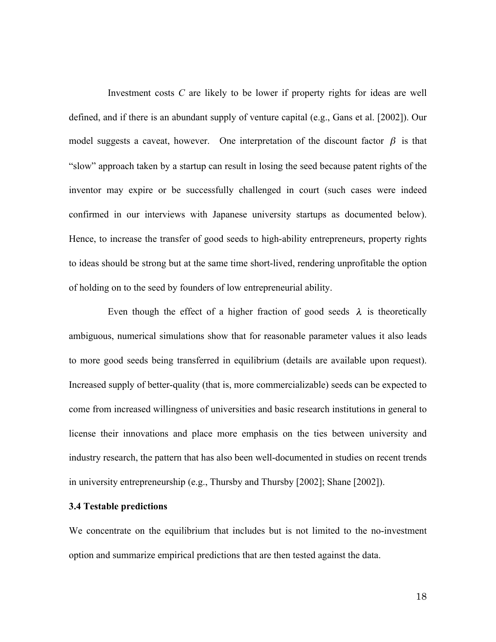Investment costs *C* are likely to be lower if property rights for ideas are well defined, and if there is an abundant supply of venture capital (e.g., Gans et al. [2002]). Our model suggests a caveat, however. One interpretation of the discount factor  $\beta$  is that inventor may expire or be successfully challenged in court (such cases were indeed "slow" approach taken by a startup can result in losing the seed because patent rights of the confirmed in our interviews with Japanese university startups as documented below). Hence, to increase the transfer of good seeds to high-ability entrepreneurs, property rights to ideas should be strong but at the same time short-lived, rendering unprofitable the option of holding on to the seed by founders of low entrepreneurial ability.

Even though the effect of a higher fraction of good seeds  $\lambda$  is theoretically ambiguous, numerical simulations show that for reasonable parameter values it also leads to more good seeds being transferred in equilibrium (details are available upon request). Increased supply of better-quality (that is, more commercializable) seeds can be expected to come from increased willingness of universities and basic research institutions in general to license their innovations and place more emphasis on the ties between university and industry research, the pattern that has also been well-documented in studies on recent trends in university entrepreneurship (e.g., Thursby and Thursby [2002]; Shane [2002]).

## **3.4 Testable predictions**

We concentrate on the equilibrium that includes but is not limited to the no-investment option and summarize empirical predictions that are then tested against the data.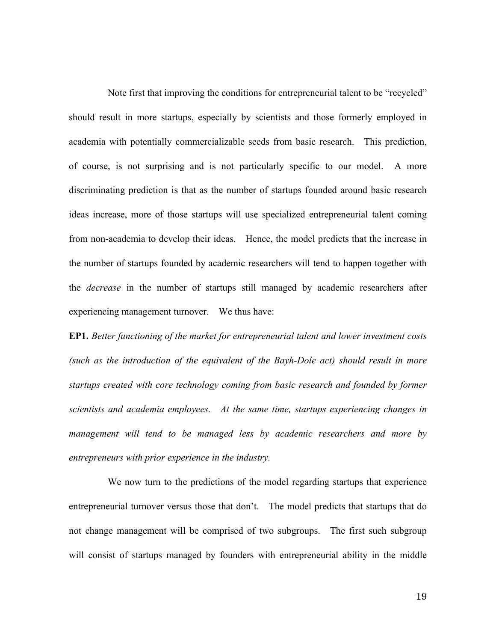Note first that improving the conditions for entrepreneurial talent to be "recycled" should result in more startups, especially by scientists and those formerly employed in academia with potentially commercializable seeds from basic research. This prediction, of course, is not surprising and is not particularly specific to our model. A more discriminating prediction is that as the number of startups founded around basic research ideas increase, more of those startups will use specialized entrepreneurial talent coming from non-academia to develop their ideas. Hence, the model predicts that the increase in the number of startups founded by academic researchers will tend to happen together with the *decrease* in the number of startups still managed by academic researchers after experiencing management turnover. We thus have:

**EP1.** *Better functioning of the market for entrepreneurial talent and lower investment costs (such as the introduction of the equivalent of the Bayh-Dole act) should result in more startups created with core technology coming from basic research and founded by former scientists and academia employees. At the same time, startups experiencing changes in management will tend to be managed less by academic researchers and more by entrepreneurs with prior experience in the industry.*

We now turn to the predictions of the model regarding startups that experience entrepreneurial turnover versus those that don't. The model predicts that startups that do not change management will be comprised of two subgroups. The first such subgroup will consist of startups managed by founders with entrepreneurial ability in the middle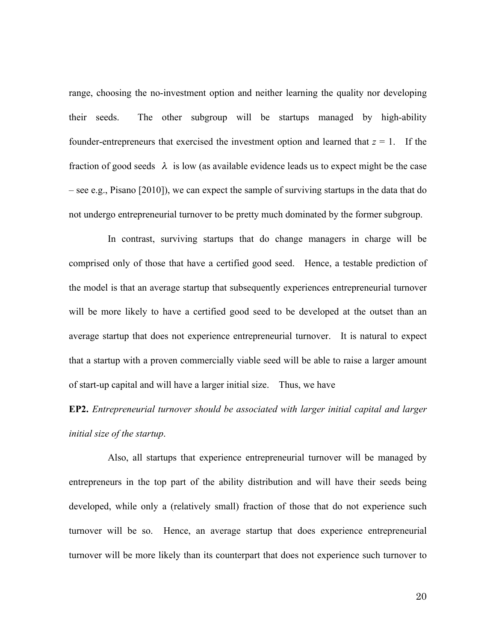range, choosing the no-investment option and neither learning the quality nor developing their seeds. The other subgroup will be startups managed by high-ability founder-entrepreneurs that exercised the investment option and learned that  $z = 1$ . If the fraction of good seeds  $\lambda$  is low (as available evidence leads us to expect might be the case – see e.g., Pisano [2010]), we can expect the sample of surviving startups in the data that do not undergo entrepreneurial turnover to be pretty much dominated by the former subgroup.

In contrast, surviving startups that do change managers in charge will be comprised only of those that have a certified good seed. Hence, a testable prediction of the model is that an average startup that subsequently experiences entrepreneurial turnover will be more likely to have a certified good seed to be developed at the outset than an average startup that does not experience entrepreneurial turnover. It is natural to expect that a startup with a proven commercially viable seed will be able to raise a larger amount of start-up capital and will have a larger initial size. Thus, we have

**EP2.** *Entrepreneurial turnover should be associated with larger initial capital and larger initial size of the startup*.

Also, all startups that experience entrepreneurial turnover will be managed by entrepreneurs in the top part of the ability distribution and will have their seeds being developed, while only a (relatively small) fraction of those that do not experience such turnover will be so. Hence, an average startup that does experience entrepreneurial turnover will be more likely than its counterpart that does not experience such turnover to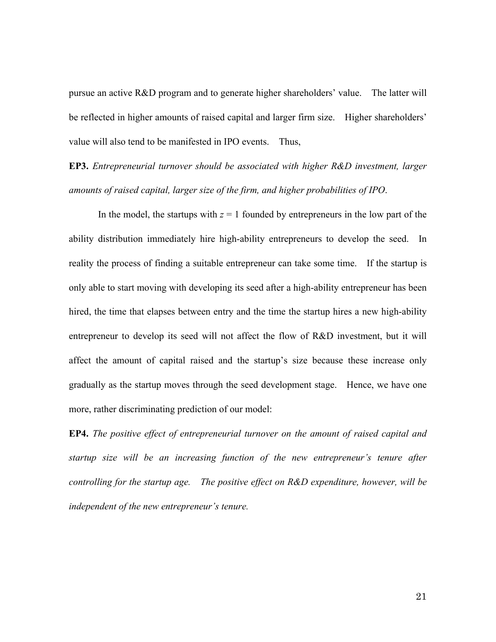pursue an active R&D program and to generate higher shareholders' value. The latter will be reflected in higher amounts of raised capital and larger firm size. Higher shareholders' value will also tend to be manifested in IPO events. Thus,

**EP3.** *Entrepreneurial turnover should be associated with higher R&D investment, larger amounts of raised capital, larger size of the firm, and higher probabilities of IPO*.

In the model, the startups with  $z = 1$  founded by entrepreneurs in the low part of the ability distribution immediately hire high-ability entrepreneurs to develop the seed. In reality the process of finding a suitable entrepreneur can take some time. If the startup is only able to start moving with developing its seed after a high-ability entrepreneur has been hired, the time that elapses between entry and the time the startup hires a new high-ability entrepreneur to develop its seed will not affect the flow of R&D investment, but it will affect the amount of capital raised and the startup's size because these increase only gradually as the startup moves through the seed development stage. Hence, we have one more, rather discriminating prediction of our model:

**EP4.** *The positive effect of entrepreneurial turnover on the amount of raised capital and startup size will be an increasing function of the new entrepreneur's tenure after controlling for the startup age. The positive effect on R&D expenditure, however, will be independent of the new entrepreneur's tenure.*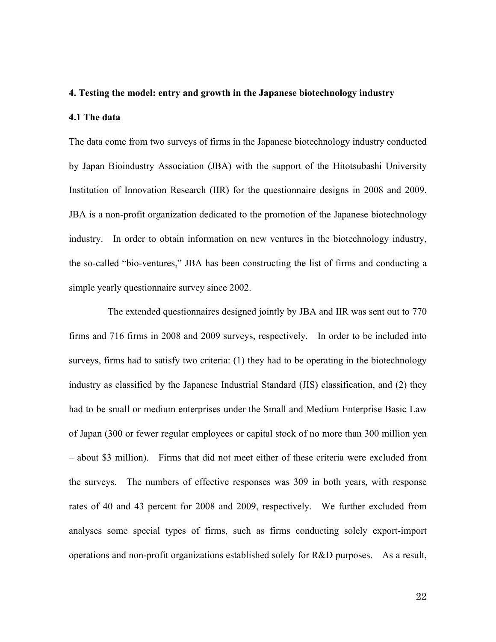#### **4. Testing the model: entry and growth in the Japanese biotechnology industry**

### **4.1 The data**

The data come from two surveys of firms in the Japanese biotechnology industry conducted by Japan Bioindustry Association (JBA) with the support of the Hitotsubashi University Institution of Innovation Research (IIR) for the questionnaire designs in 2008 and 2009. JBA is a non-profit organization dedicated to the promotion of the Japanese biotechnology industry. In order to obtain information on new ventures in the biotechnology industry, the so-called "bio-ventures," JBA has been constructing the list of firms and conducting a simple yearly questionnaire survey since 2002.

The extended questionnaires designed jointly by JBA and IIR was sent out to 770 firms and 716 firms in 2008 and 2009 surveys, respectively. In order to be included into surveys, firms had to satisfy two criteria: (1) they had to be operating in the biotechnology industry as classified by the Japanese Industrial Standard (JIS) classification, and (2) they had to be small or medium enterprises under the Small and Medium Enterprise Basic Law of Japan (300 or fewer regular employees or capital stock of no more than 300 million yen – about \$3 million). Firms that did not meet either of these criteria were excluded from the surveys. The numbers of effective responses was 309 in both years, with response rates of 40 and 43 percent for 2008 and 2009, respectively. We further excluded from analyses some special types of firms, such as firms conducting solely export-import operations and non-profit organizations established solely for R&D purposes. As a result,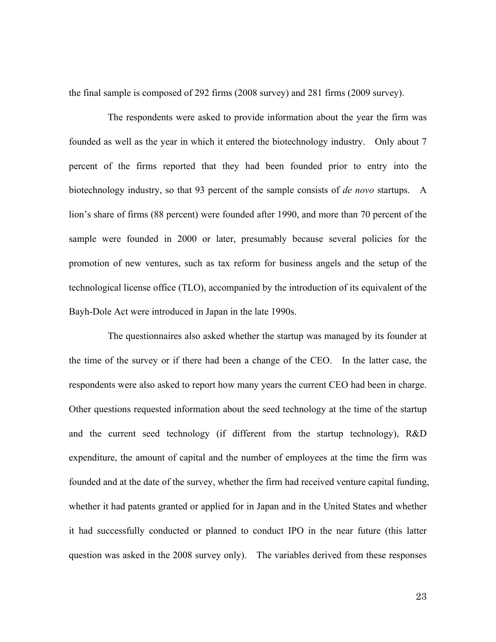the final sample is composed of 292 firms (2008 survey) and 281 firms (2009 survey).

The respondents were asked to provide information about the year the firm was founded as well as the year in which it entered the biotechnology industry. Only about 7 percent of the firms reported that they had been founded prior to entry into the biotechnology industry, so that 93 percent of the sample consists of *de novo* startups. A lion's share of firms (88 percent) were founded after 1990, and more than 70 percent of the sample were founded in 2000 or later, presumably because several policies for the promotion of new ventures, such as tax reform for business angels and the setup of the technological license office (TLO), accompanied by the introduction of its equivalent of the Bayh-Dole Act were introduced in Japan in the late 1990s.

The questionnaires also asked whether the startup was managed by its founder at the time of the survey or if there had been a change of the CEO. In the latter case, the respondents were also asked to report how many years the current CEO had been in charge. Other questions requested information about the seed technology at the time of the startup and the current seed technology (if different from the startup technology), R&D expenditure, the amount of capital and the number of employees at the time the firm was founded and at the date of the survey, whether the firm had received venture capital funding, whether it had patents granted or applied for in Japan and in the United States and whether it had successfully conducted or planned to conduct IPO in the near future (this latter question was asked in the 2008 survey only). The variables derived from these responses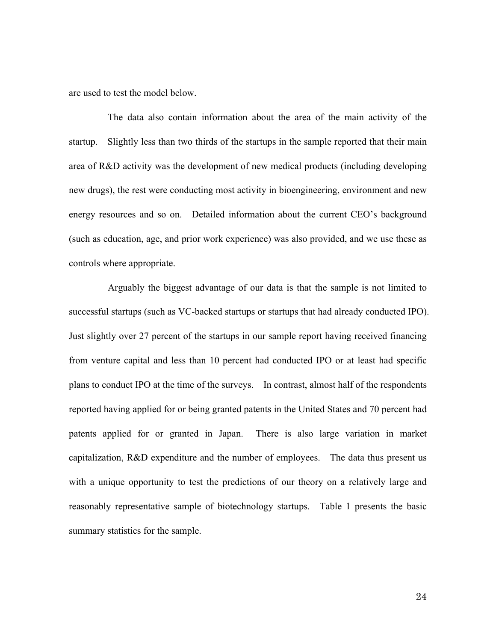are used to test the model below.

The data also contain information about the area of the main activity of the startup. Slightly less than two thirds of the startups in the sample reported that their main area of R&D activity was the development of new medical products (including developing new drugs), the rest were conducting most activity in bioengineering, environment and new energy resources and so on. Detailed information about the current CEO's background (such as education, age, and prior work experience) was also provided, and we use these as controls where appropriate.

Arguably the biggest advantage of our data is that the sample is not limited to successful startups (such as VC-backed startups or startups that had already conducted IPO). Just slightly over 27 percent of the startups in our sample report having received financing from venture capital and less than 10 percent had conducted IPO or at least had specific plans to conduct IPO at the time of the surveys. In contrast, almost half of the respondents reported having applied for or being granted patents in the United States and 70 percent had patents applied for or granted in Japan. There is also large variation in market capitalization, R&D expenditure and the number of employees. The data thus present us with a unique opportunity to test the predictions of our theory on a relatively large and reasonably representative sample of biotechnology startups. Table 1 presents the basic summary statistics for the sample.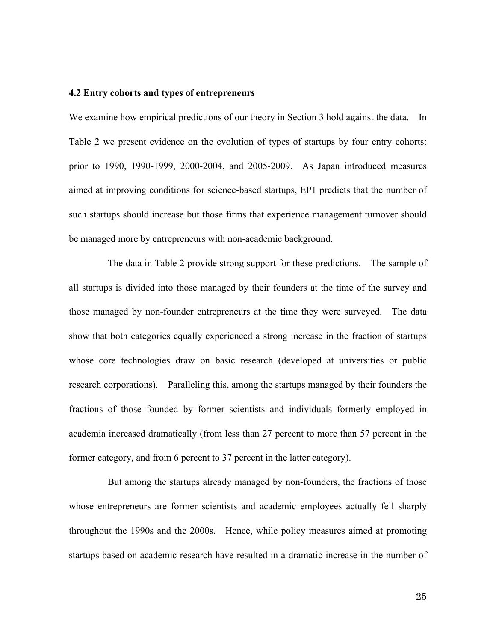#### **4.2 Entry cohorts and types of entrepreneurs**

We examine how empirical predictions of our theory in Section 3 hold against the data. In Table 2 we present evidence on the evolution of types of startups by four entry cohorts: prior to 1990, 1990-1999, 2000-2004, and 2005-2009. As Japan introduced measures aimed at improving conditions for science-based startups, EP1 predicts that the number of such startups should increase but those firms that experience management turnover should be managed more by entrepreneurs with non-academic background.

The data in Table 2 provide strong support for these predictions. The sample of all startups is divided into those managed by their founders at the time of the survey and those managed by non-founder entrepreneurs at the time they were surveyed. The data show that both categories equally experienced a strong increase in the fraction of startups whose core technologies draw on basic research (developed at universities or public research corporations). Paralleling this, among the startups managed by their founders the fractions of those founded by former scientists and individuals formerly employed in academia increased dramatically (from less than 27 percent to more than 57 percent in the former category, and from 6 percent to 37 percent in the latter category).

But among the startups already managed by non-founders, the fractions of those whose entrepreneurs are former scientists and academic employees actually fell sharply throughout the 1990s and the 2000s. Hence, while policy measures aimed at promoting startups based on academic research have resulted in a dramatic increase in the number of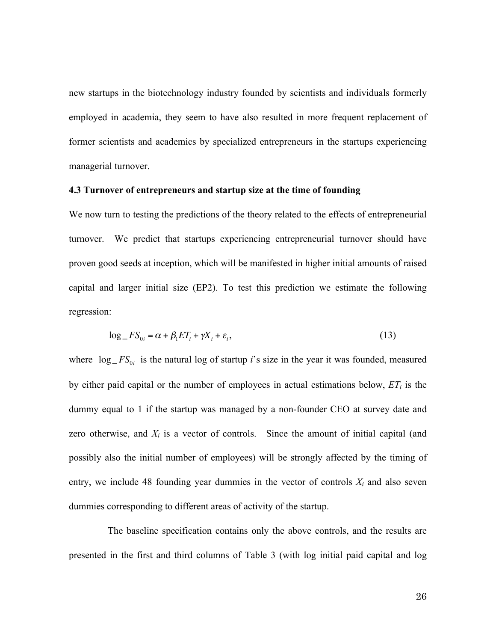new startups in the biotechnology industry founded by scientists and individuals formerly employed in academia, they seem to have also resulted in more frequent replacement of former scientists and academics by specialized entrepreneurs in the startups experiencing managerial turnover.

#### **4.3 Turnover of entrepreneurs and startup size at the time of founding**

We now turn to testing the predictions of the theory related to the effects of entrepreneurial turnover. We predict that startups experiencing entrepreneurial turnover should have proven good seeds at inception, which will be manifested in higher initial amounts of raised capital and larger initial size (EP2). To test this prediction we estimate the following regression:

$$
\log_{-}FS_{0i} = \alpha + \beta_1 ET_i + \gamma X_i + \varepsilon_i, \tag{13}
$$

by either paid capital or the number of employees in actual estimations below,  $ET_i$  is the where  $\log_{10} FS_{0i}$  is the natural log of startup *i*'s size in the year it was founded, measured dummy equal to 1 if the startup was managed by a non-founder CEO at survey date and zero otherwise, and  $X_i$  is a vector of controls. Since the amount of initial capital (and possibly also the initial number of employees) will be strongly affected by the timing of entry, we include 48 founding year dummies in the vector of controls *Xi* and also seven dummies corresponding to different areas of activity of the startup.

The baseline specification contains only the above controls, and the results are presented in the first and third columns of Table 3 (with log initial paid capital and log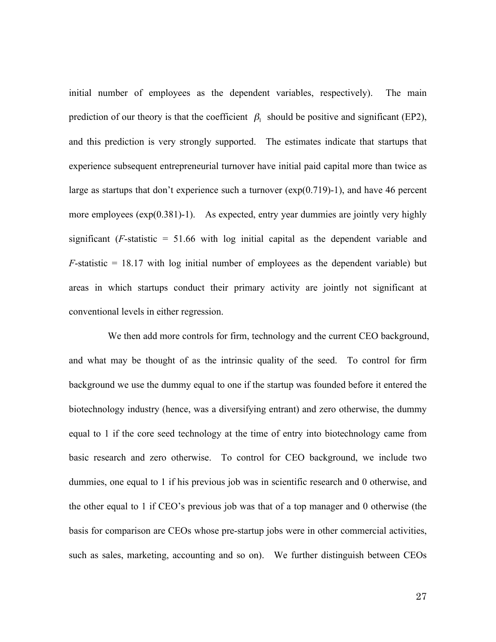initial number of employees as the dependent variables, respectively). The main prediction of our theory is that the coefficient  $\beta_1$  should be positive and significant (EP2), experience subsequent entrepreneurial turnover have initial paid capital more than twice as and this prediction is very strongly supported. The estimates indicate that startups that large as startups that don't experience such a turnover  $(\exp(0.719) - 1)$ , and have 46 percent more employees (exp(0.381)-1). As expected, entry year dummies are jointly very highly significant  $(F\text{-statistic} = 51.66$  with log initial capital as the dependent variable and  $F$ -statistic = 18.17 with log initial number of employees as the dependent variable) but areas in which startups conduct their primary activity are jointly not significant at conventional levels in either regression.

We then add more controls for firm, technology and the current CEO background, and what may be thought of as the intrinsic quality of the seed. To control for firm background we use the dummy equal to one if the startup was founded before it entered the biotechnology industry (hence, was a diversifying entrant) and zero otherwise, the dummy equal to 1 if the core seed technology at the time of entry into biotechnology came from basic research and zero otherwise. To control for CEO background, we include two dummies, one equal to 1 if his previous job was in scientific research and 0 otherwise, and the other equal to 1 if CEO's previous job was that of a top manager and 0 otherwise (the basis for comparison are CEOs whose pre-startup jobs were in other commercial activities, such as sales, marketing, accounting and so on). We further distinguish between CEOs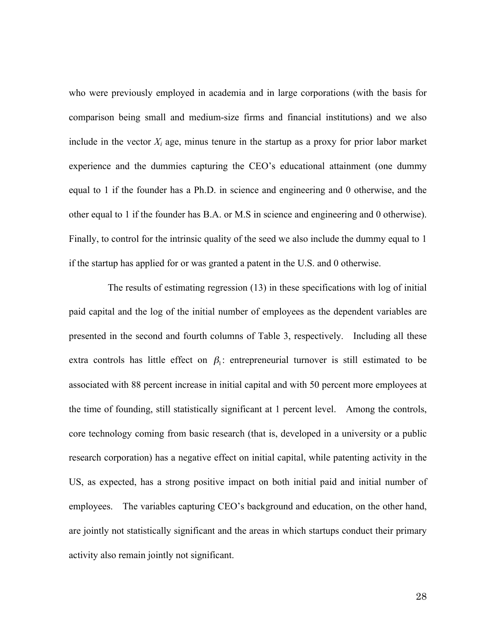who were previously employed in academia and in large corporations (with the basis for comparison being small and medium-size firms and financial institutions) and we also include in the vector  $X_i$  age, minus tenure in the startup as a proxy for prior labor market experience and the dummies capturing the CEO's educational attainment (one dummy equal to 1 if the founder has a Ph.D. in science and engineering and 0 otherwise, and the other equal to 1 if the founder has B.A. or M.S in science and engineering and 0 otherwise). Finally, to control for the intrinsic quality of the seed we also include the dummy equal to 1 if the startup has applied for or was granted a patent in the U.S. and 0 otherwise.

The results of estimating regression (13) in these specifications with log of initial paid capital and the log of the initial number of employees as the dependent variables are presented in the second and fourth columns of Table 3, respectively. Including all these extra controls has little effect on  $\beta_1$ : entrepreneurial turnover is still estimated to be the time of founding, still statistically significant at 1 percent level. Among the controls, associated with 88 percent increase in initial capital and with 50 percent more employees at core technology coming from basic research (that is, developed in a university or a public research corporation) has a negative effect on initial capital, while patenting activity in the US, as expected, has a strong positive impact on both initial paid and initial number of employees. The variables capturing CEO's background and education, on the other hand, are jointly not statistically significant and the areas in which startups conduct their primary activity also remain jointly not significant.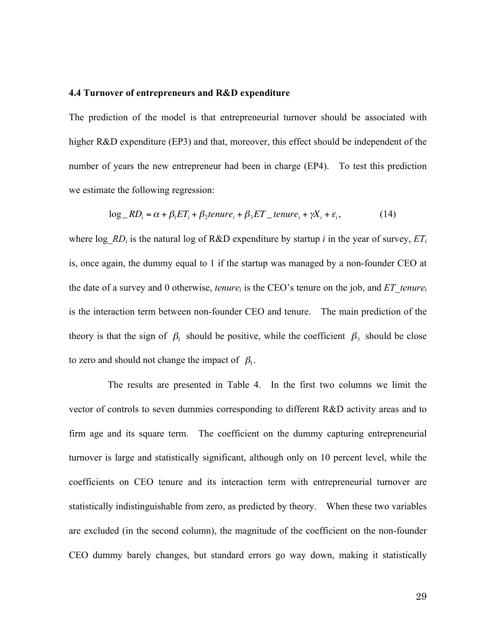#### **4.4 Turnover of entrepreneurs and R&D expenditure**

The prediction of the model is that entrepreneurial turnover should be associated with higher R&D expenditure (EP3) and that, moreover, this effect should be independent of the number of years the new entrepreneur had been in charge (EP4). To test this prediction we estimate the following regression:

$$
\log\_RD_i = \alpha + \beta_1 ET_i + \beta_2 t = \mu e_i + \beta_3 ET_t = \mu e_i + \gamma X_i + \varepsilon_i, \tag{14}
$$

is, once again, the dummy equal to 1 if the startup was managed by a non-founder CEO at where  $\log_R D_i$  is the natural  $\log$  of R&D expenditure by startup *i* in the year of survey,  $ET_i$ the date of a survey and 0 otherwise, *tenurei* is the CEO's tenure on the job, and *ET\_tenurei* is the interaction term between non-founder CEO and tenure. The main prediction of the theory is that the sign of  $\beta_1$  should be positive, while the coefficient  $\beta_3$  should be close to zero and should not change the impact of  $\beta_1$ .

The results are presented in Table 4. In the first two columns we limit the vector of controls to seven dummies corresponding to different R&D activity areas and to firm age and its square term. The coefficient on the dummy capturing entrepreneurial turnover is large and statistically significant, although only on 10 percent level, while the coefficients on CEO tenure and its interaction term with entrepreneurial turnover are statistically indistinguishable from zero, as predicted by theory. When these two variables are excluded (in the second column), the magnitude of the coefficient on the non-founder CEO dummy barely changes, but standard errors go way down, making it statistically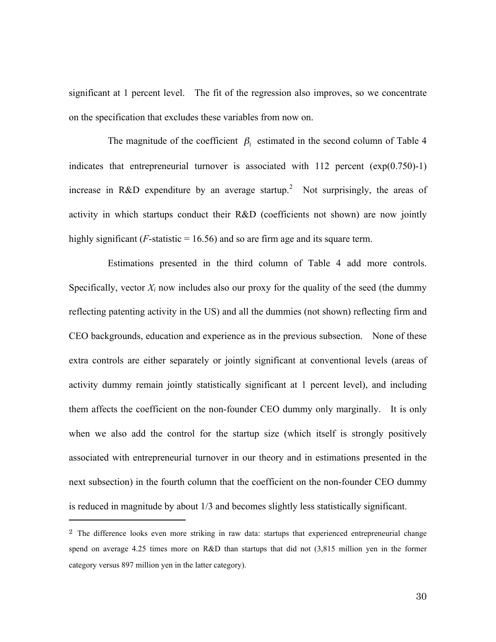significant at 1 percent level. The fit of the regression also improves, so we concentrate on the specification that excludes these variables from now on.

The magnitude of the coefficient  $\beta_1$  estimated in the second column of Table 4 increase in R&D expenditure by an average startup.<sup>2</sup> Not surprisingly, the areas of indicates that entrepreneurial turnover is associated with 112 percent (exp(0.750)-1) activity in which startups conduct their R&D (coefficients not shown) are now jointly highly significant (*F*-statistic = 16.56) and so are firm age and its square term.

Estimations presented in the third column of Table 4 add more controls. Specifically, vector  $X_i$  now includes also our proxy for the quality of the seed (the dummy reflecting patenting activity in the US) and all the dummies (not shown) reflecting firm and CEO backgrounds, education and experience as in the previous subsection. None of these extra controls are either separately or jointly significant at conventional levels (areas of activity dummy remain jointly statistically significant at 1 percent level), and including them affects the coefficient on the non-founder CEO dummy only marginally. It is only when we also add the control for the startup size (which itself is strongly positively associated with entrepreneurial turnover in our theory and in estimations presented in the next subsection) in the fourth column that the coefficient on the non-founder CEO dummy is reduced in magnitude by about 1/3 and becomes slightly less statistically significant.

 $\overline{a}$ 

<sup>2</sup> The difference looks even more striking in raw data: startups that experienced entrepreneurial change spend on average 4.25 times more on R&D than startups that did not (3,815 million yen in the former category versus 897 million yen in the latter category).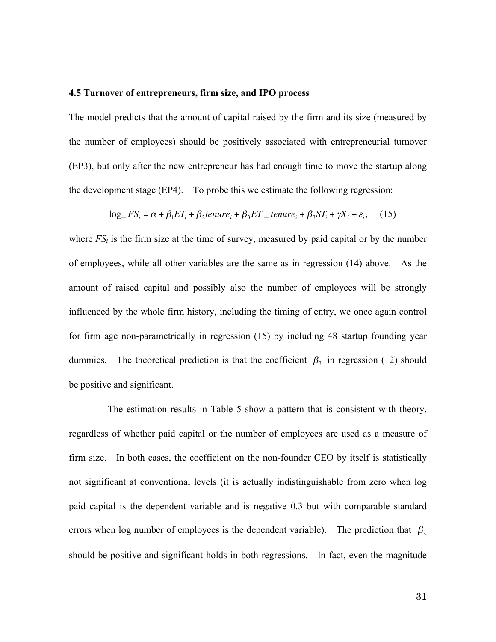#### **4.5 Turnover of entrepreneurs, firm size, and IPO process**

The model predicts that the amount of capital raised by the firm and its size (measured by the number of employees) should be positively associated with entrepreneurial turnover (EP3), but only after the new entrepreneur has had enough time to move the startup along the development stage (EP4). To probe this we estimate the following regression:

$$
\log_{-}FS_i = \alpha + \beta_1 ET_i + \beta_2 tenure_i + \beta_3 ET_{\text{}} \text{tenure}_i + \beta_3 ST_i + \gamma X_i + \varepsilon_i, \quad (15)
$$

of employees, while all other variables are the same as in regression (14) above. As the where  $FS_i$  is the firm size at the time of survey, measured by paid capital or by the number amount of raised capital and possibly also the number of employees will be strongly influenced by the whole firm history, including the timing of entry, we once again control for firm age non-parametrically in regression (15) by including 48 startup founding year dummies. The theoretical prediction is that the coefficient  $\beta_3$  in regression (12) should be positive and significant.

The estimation results in Table 5 show a pattern that is consistent with theory, regardless of whether paid capital or the number of employees are used as a measure of firm size. In both cases, the coefficient on the non-founder CEO by itself is statistically not significant at conventional levels (it is actually indistinguishable from zero when log paid capital is the dependent variable and is negative 0.3 but with comparable standard errors when log number of employees is the dependent variable). The prediction that  $\beta_3$ should be positive and significant holds in both regressions. In fact, even the magnitude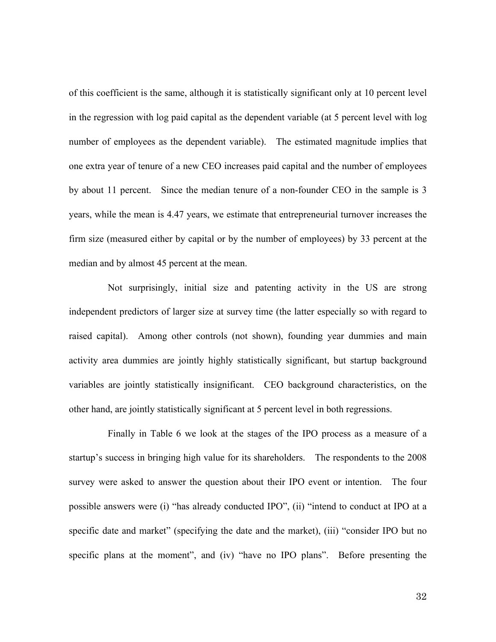of this coefficient is the same, although it is statistically significant only at 10 percent level in the regression with log paid capital as the dependent variable (at 5 percent level with log number of employees as the dependent variable). The estimated magnitude implies that one extra year of tenure of a new CEO increases paid capital and the number of employees by about 11 percent. Since the median tenure of a non-founder CEO in the sample is 3 years, while the mean is 4.47 years, we estimate that entrepreneurial turnover increases the firm size (measured either by capital or by the number of employees) by 33 percent at the median and by almost 45 percent at the mean.

Not surprisingly, initial size and patenting activity in the US are strong independent predictors of larger size at survey time (the latter especially so with regard to raised capital). Among other controls (not shown), founding year dummies and main activity area dummies are jointly highly statistically significant, but startup background variables are jointly statistically insignificant. CEO background characteristics, on the other hand, are jointly statistically significant at 5 percent level in both regressions.

Finally in Table 6 we look at the stages of the IPO process as a measure of a startup's success in bringing high value for its shareholders. The respondents to the 2008 survey were asked to answer the question about their IPO event or intention. The four possible answers were (i) "has already conducted IPO", (ii) "intend to conduct at IPO at a specific date and market" (specifying the date and the market), (iii) "consider IPO but no specific plans at the moment", and (iv) "have no IPO plans". Before presenting the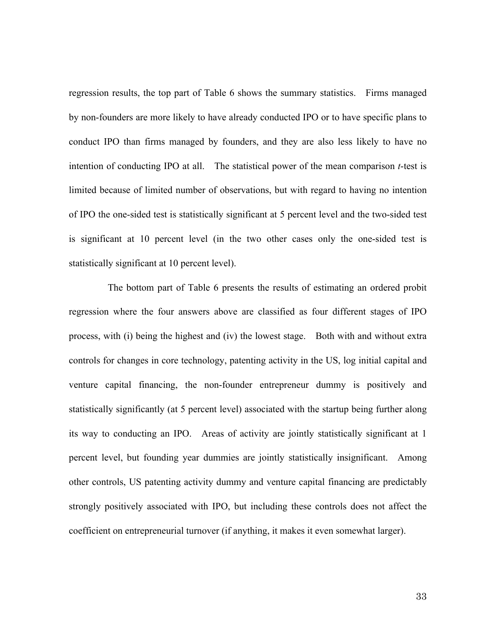regression results, the top part of Table 6 shows the summary statistics. Firms managed by non-founders are more likely to have already conducted IPO or to have specific plans to conduct IPO than firms managed by founders, and they are also less likely to have no intention of conducting IPO at all. The statistical power of the mean comparison *t*-test is limited because of limited number of observations, but with regard to having no intention of IPO the one-sided test is statistically significant at 5 percent level and the two-sided test is significant at 10 percent level (in the two other cases only the one-sided test is statistically significant at 10 percent level).

The bottom part of Table 6 presents the results of estimating an ordered probit regression where the four answers above are classified as four different stages of IPO process, with (i) being the highest and (iv) the lowest stage. Both with and without extra controls for changes in core technology, patenting activity in the US, log initial capital and venture capital financing, the non-founder entrepreneur dummy is positively and statistically significantly (at 5 percent level) associated with the startup being further along its way to conducting an IPO. Areas of activity are jointly statistically significant at 1 percent level, but founding year dummies are jointly statistically insignificant. Among other controls, US patenting activity dummy and venture capital financing are predictably strongly positively associated with IPO, but including these controls does not affect the coefficient on entrepreneurial turnover (if anything, it makes it even somewhat larger).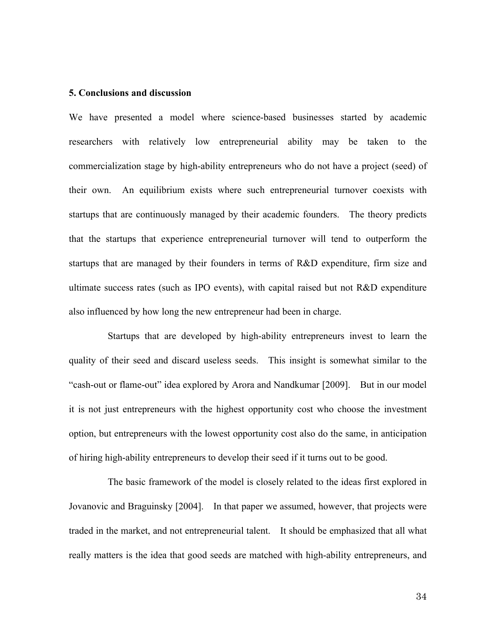#### **5. Conclusions and discussion**

We have presented a model where science-based businesses started by academic researchers with relatively low entrepreneurial ability may be taken to the commercialization stage by high-ability entrepreneurs who do not have a project (seed) of their own. An equilibrium exists where such entrepreneurial turnover coexists with startups that are continuously managed by their academic founders. The theory predicts that the startups that experience entrepreneurial turnover will tend to outperform the startups that are managed by their founders in terms of R&D expenditure, firm size and ultimate success rates (such as IPO events), with capital raised but not R&D expenditure also influenced by how long the new entrepreneur had been in charge.

Startups that are developed by high-ability entrepreneurs invest to learn the quality of their seed and discard useless seeds. This insight is somewhat similar to the "cash-out or flame-out" idea explored by Arora and Nandkumar [2009]. But in our model it is not just entrepreneurs with the highest opportunity cost who choose the investment option, but entrepreneurs with the lowest opportunity cost also do the same, in anticipation of hiring high-ability entrepreneurs to develop their seed if it turns out to be good.

The basic framework of the model is closely related to the ideas first explored in Jovanovic and Braguinsky [2004]. In that paper we assumed, however, that projects were traded in the market, and not entrepreneurial talent. It should be emphasized that all what really matters is the idea that good seeds are matched with high-ability entrepreneurs, and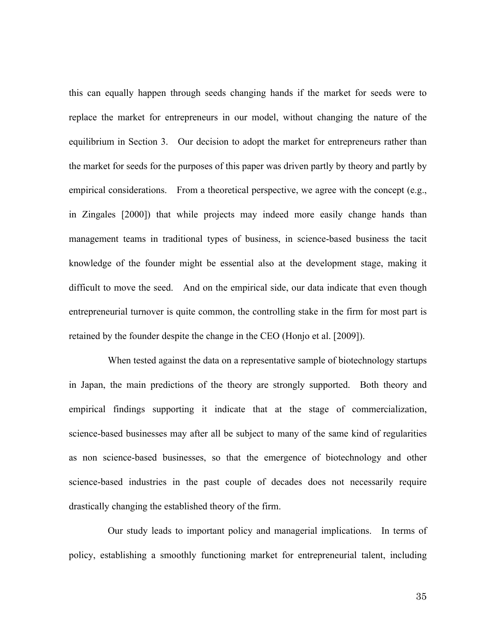this can equally happen through seeds changing hands if the market for seeds were to replace the market for entrepreneurs in our model, without changing the nature of the equilibrium in Section 3. Our decision to adopt the market for entrepreneurs rather than the market for seeds for the purposes of this paper was driven partly by theory and partly by empirical considerations. From a theoretical perspective, we agree with the concept  $(e.g.,\)$ in Zingales [2000]) that while projects may indeed more easily change hands than management teams in traditional types of business, in science-based business the tacit knowledge of the founder might be essential also at the development stage, making it difficult to move the seed. And on the empirical side, our data indicate that even though entrepreneurial turnover is quite common, the controlling stake in the firm for most part is retained by the founder despite the change in the CEO (Honjo et al. [2009]).

When tested against the data on a representative sample of biotechnology startups in Japan, the main predictions of the theory are strongly supported. Both theory and empirical findings supporting it indicate that at the stage of commercialization, science-based businesses may after all be subject to many of the same kind of regularities as non science-based businesses, so that the emergence of biotechnology and other science-based industries in the past couple of decades does not necessarily require drastically changing the established theory of the firm.

Our study leads to important policy and managerial implications. In terms of policy, establishing a smoothly functioning market for entrepreneurial talent, including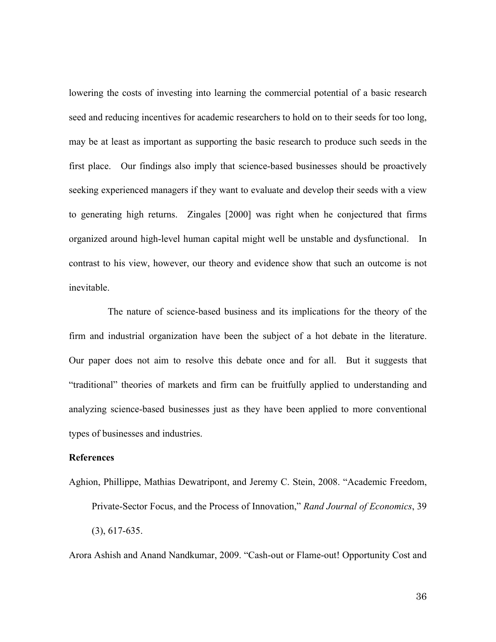lowering the costs of investing into learning the commercial potential of a basic research seed and reducing incentives for academic researchers to hold on to their seeds for too long, may be at least as important as supporting the basic research to produce such seeds in the first place. Our findings also imply that science-based businesses should be proactively seeking experienced managers if they want to evaluate and develop their seeds with a view to generating high returns. Zingales [2000] was right when he conjectured that firms organized around high-level human capital might well be unstable and dysfunctional. In contrast to his view, however, our theory and evidence show that such an outcome is not inevitable.

The nature of science-based business and its implications for the theory of the firm and industrial organization have been the subject of a hot debate in the literature. Our paper does not aim to resolve this debate once and for all. But it suggests that "traditional" theories of markets and firm can be fruitfully applied to understanding and analyzing science-based businesses just as they have been applied to more conventional types of businesses and industries.

#### **References**

Aghion, Phillippe, Mathias Dewatripont, and Jeremy C. Stein, 2008. "Academic Freedom, Private-Sector Focus, and the Process of Innovation," *Rand Journal of Economics*, 39 (3), 617-635.

Arora Ashish and Anand Nandkumar, 2009. "Cash-out or Flame-out! Opportunity Cost and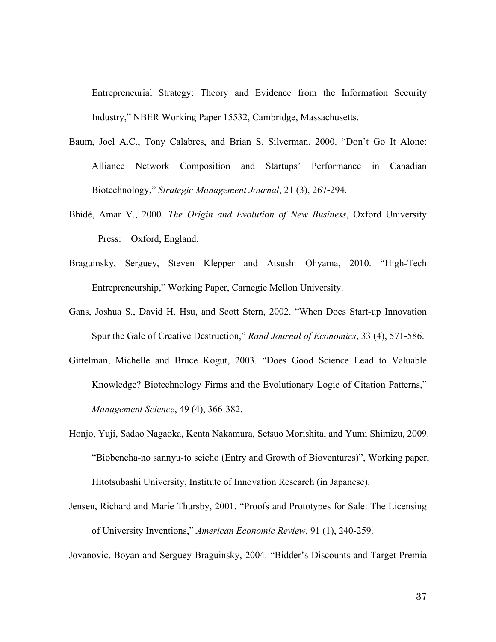Entrepreneurial Strategy: Theory and Evidence from the Information Security Industry," NBER Working Paper 15532, Cambridge, Massachusetts.

- Baum, Joel A.C., Tony Calabres, and Brian S. Silverman, 2000. "Don't Go It Alone: Alliance Network Composition and Startups' Performance in Canadian Biotechnology," *Strategic Management Journal*, 21 (3), 267-294.
- Bhidé, Amar V., 2000. *The Origin and Evolution of New Business*, Oxford University Press: Oxford, England.
- Braguinsky, Serguey, Steven Klepper and Atsushi Ohyama, 2010. "High-Tech Entrepreneurship," Working Paper, Carnegie Mellon University.
- Gans, Joshua S., David H. Hsu, and Scott Stern, 2002. "When Does Start-up Innovation Spur the Gale of Creative Destruction," *Rand Journal of Economics*, 33 (4), 571-586.
- Gittelman, Michelle and Bruce Kogut, 2003. "Does Good Science Lead to Valuable Knowledge? Biotechnology Firms and the Evolutionary Logic of Citation Patterns," *Management Science*, 49 (4), 366-382.
- Honjo, Yuji, Sadao Nagaoka, Kenta Nakamura, Setsuo Morishita, and Yumi Shimizu, 2009. "Biobencha-no sannyu-to seicho (Entry and Growth of Bioventures)", Working paper, Hitotsubashi University, Institute of Innovation Research (in Japanese).
- Jensen, Richard and Marie Thursby, 2001. "Proofs and Prototypes for Sale: The Licensing of University Inventions," *American Economic Review*, 91 (1), 240-259.

Jovanovic, Boyan and Serguey Braguinsky, 2004. "Bidder's Discounts and Target Premia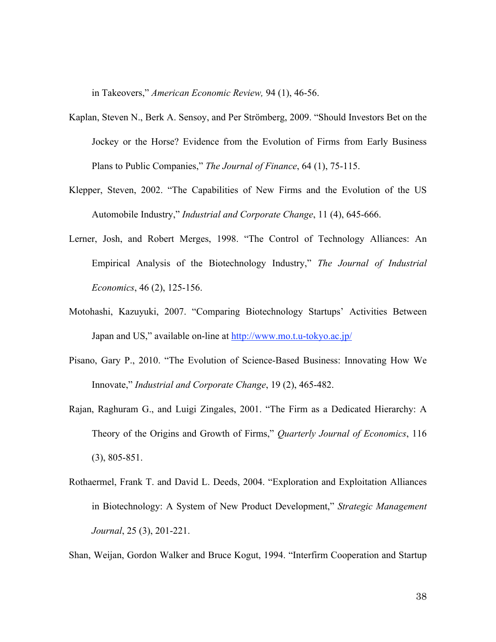in Takeovers," *American Economic Review,* 94 (1), 46-56.

- Kaplan, Steven N., Berk A. Sensoy, and Per Strömberg, 2009. "Should Investors Bet on the Jockey or the Horse? Evidence from the Evolution of Firms from Early Business Plans to Public Companies," *The Journal of Finance*, 64 (1), 75-115.
- Klepper, Steven, 2002. "The Capabilities of New Firms and the Evolution of the US Automobile Industry," *Industrial and Corporate Change*, 11 (4), 645-666.
- Lerner, Josh, and Robert Merges, 1998. "The Control of Technology Alliances: An Empirical Analysis of the Biotechnology Industry," *The Journal of Industrial Economics*, 46 (2), 125-156.
- Motohashi, Kazuyuki, 2007. "Comparing Biotechnology Startups' Activities Between Japan and US," available on-line at http://www.mo.t.u-tokyo.ac.jp/
- Pisano, Gary P., 2010. "The Evolution of Science-Based Business: Innovating How We Innovate," *Industrial and Corporate Change*, 19 (2), 465-482.
- Rajan, Raghuram G., and Luigi Zingales, 2001. "The Firm as a Dedicated Hierarchy: A Theory of the Origins and Growth of Firms," *Quarterly Journal of Economics*, 116 (3), 805-851.
- Rothaermel, Frank T. and David L. Deeds, 2004. "Exploration and Exploitation Alliances in Biotechnology: A System of New Product Development," *Strategic Management Journal*, 25 (3), 201-221.
- Shan, Weijan, Gordon Walker and Bruce Kogut, 1994. "Interfirm Cooperation and Startup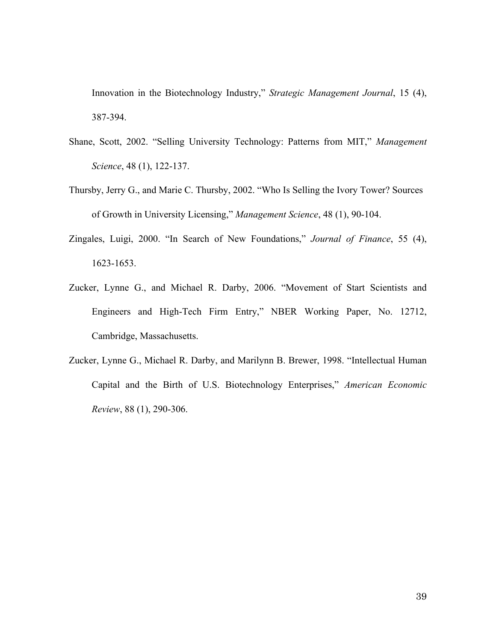Innovation in the Biotechnology Industry," *Strategic Management Journal*, 15 (4), 387-394.

- Shane, Scott, 2002. "Selling University Technology: Patterns from MIT," *Management Science*, 48 (1), 122-137.
- Thursby, Jerry G., and Marie C. Thursby, 2002. "Who Is Selling the Ivory Tower? Sources of Growth in University Licensing," *Management Science*, 48 (1), 90-104.
- Zingales, Luigi, 2000. "In Search of New Foundations," *Journal of Finance*, 55 (4), 1623-1653.
- Zucker, Lynne G., and Michael R. Darby, 2006. "Movement of Start Scientists and Engineers and High-Tech Firm Entry," NBER Working Paper, No. 12712, Cambridge, Massachusetts.
- Zucker, Lynne G., Michael R. Darby, and Marilynn B. Brewer, 1998. "Intellectual Human Capital and the Birth of U.S. Biotechnology Enterprises," *American Economic Review*, 88 (1), 290-306.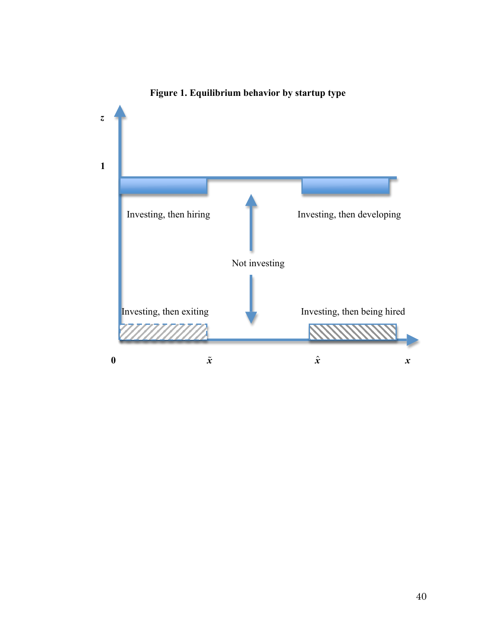

**Figure 1. Equilibrium behavior by startup type**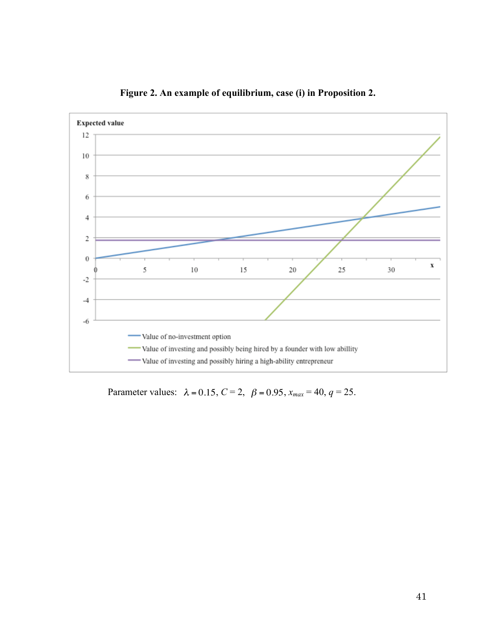

**Figure 2. An example of equilibrium, case (i) in Proposition 2.**

Parameter values:  $\lambda = 0.15$ ,  $C = 2$ ,  $\beta = 0.95$ ,  $x_{max} = 40$ ,  $q = 25$ .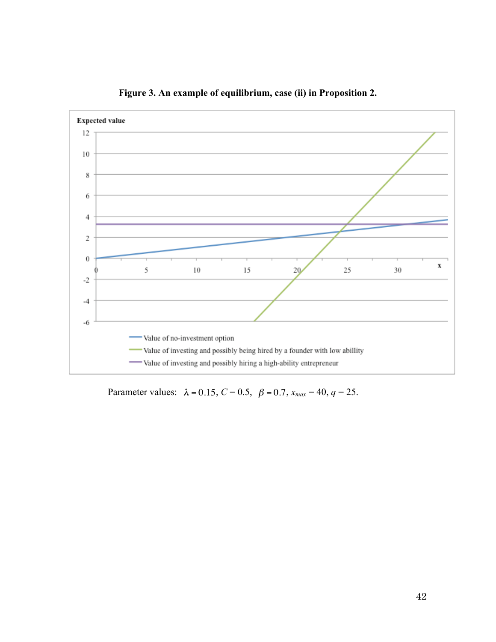

**Figure 3. An example of equilibrium, case (ii) in Proposition 2.**

Parameter values:  $\lambda = 0.15$ ,  $C = 0.5$ ,  $\beta = 0.7$ ,  $x_{max} = 40$ ,  $q = 25$ .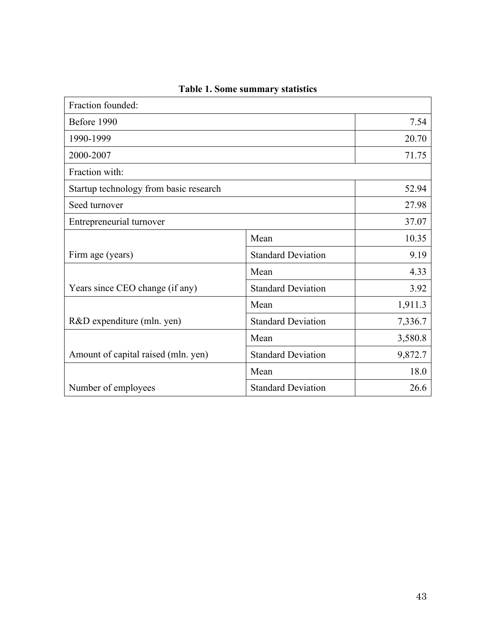| Fraction founded:                      |                           |         |
|----------------------------------------|---------------------------|---------|
| Before 1990                            | 7.54                      |         |
| 1990-1999                              |                           | 20.70   |
| 2000-2007                              |                           | 71.75   |
| Fraction with:                         |                           |         |
| Startup technology from basic research |                           | 52.94   |
| Seed turnover                          | 27.98                     |         |
| Entrepreneurial turnover               | 37.07                     |         |
|                                        | Mean                      | 10.35   |
| Firm age (years)                       | <b>Standard Deviation</b> | 9.19    |
|                                        | Mean                      | 4.33    |
| Years since CEO change (if any)        | <b>Standard Deviation</b> | 3.92    |
|                                        | Mean                      | 1,911.3 |
| R&D expenditure (mln. yen)             | <b>Standard Deviation</b> | 7,336.7 |
|                                        | Mean                      | 3,580.8 |
| Amount of capital raised (mln. yen)    | <b>Standard Deviation</b> | 9,872.7 |
|                                        | 18.0                      |         |
| Number of employees                    | 26.6                      |         |

| <b>Table 1. Some summary statistics</b> |  |
|-----------------------------------------|--|
|-----------------------------------------|--|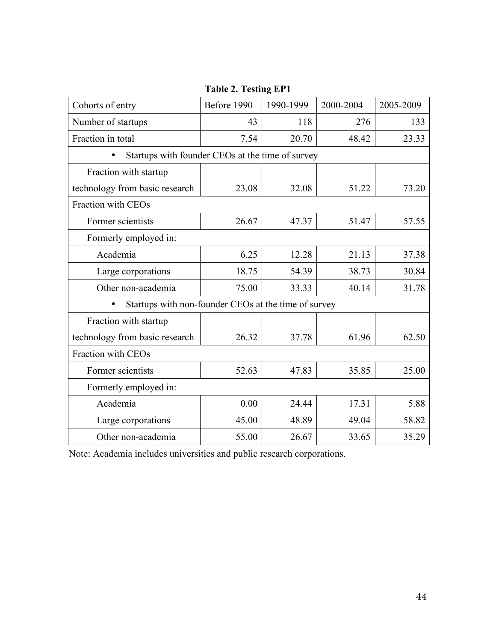| Cohorts of entry                                                  | Before 1990 | 1990-1999 | 2000-2004 | 2005-2009 |  |  |  |  |
|-------------------------------------------------------------------|-------------|-----------|-----------|-----------|--|--|--|--|
| Number of startups                                                | 43          | 118       | 276       | 133       |  |  |  |  |
| Fraction in total                                                 | 7.54        | 20.70     | 48.42     | 23.33     |  |  |  |  |
| Startups with founder CEOs at the time of survey                  |             |           |           |           |  |  |  |  |
| Fraction with startup                                             |             |           |           |           |  |  |  |  |
| technology from basic research                                    | 23.08       | 32.08     | 51.22     | 73.20     |  |  |  |  |
| Fraction with CEOs                                                |             |           |           |           |  |  |  |  |
| Former scientists                                                 | 26.67       | 47.37     | 51.47     | 57.55     |  |  |  |  |
| Formerly employed in:                                             |             |           |           |           |  |  |  |  |
| Academia                                                          | 6.25        | 12.28     | 21.13     | 37.38     |  |  |  |  |
| Large corporations                                                | 18.75       | 54.39     | 38.73     | 30.84     |  |  |  |  |
| Other non-academia                                                | 75.00       | 33.33     | 40.14     | 31.78     |  |  |  |  |
| Startups with non-founder CEOs at the time of survey<br>$\bullet$ |             |           |           |           |  |  |  |  |
| Fraction with startup                                             |             |           |           |           |  |  |  |  |
| technology from basic research                                    | 26.32       | 37.78     | 61.96     | 62.50     |  |  |  |  |
| Fraction with CEOs                                                |             |           |           |           |  |  |  |  |
| Former scientists                                                 | 52.63       | 47.83     | 35.85     | 25.00     |  |  |  |  |
| Formerly employed in:                                             |             |           |           |           |  |  |  |  |
| Academia                                                          | 0.00        | 24.44     | 17.31     | 5.88      |  |  |  |  |
| Large corporations                                                | 45.00       | 48.89     | 49.04     | 58.82     |  |  |  |  |
| Other non-academia                                                | 55.00       | 26.67     | 33.65     | 35.29     |  |  |  |  |

# **Table 2. Testing EP1**

Note: Academia includes universities and public research corporations.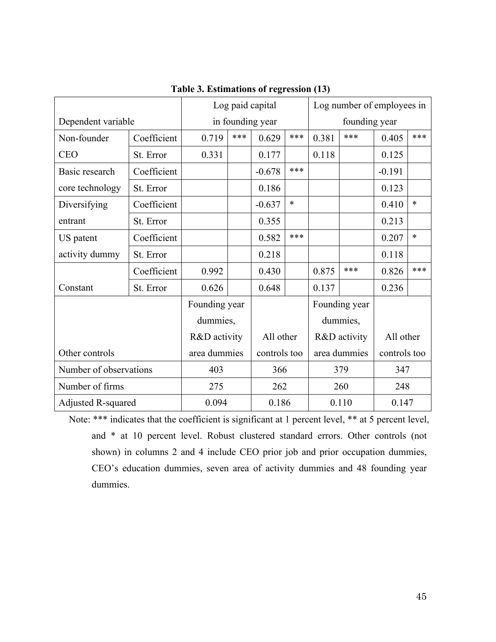|                        |             | Log paid capital |     |              | Log number of employees in |               |     |              |        |
|------------------------|-------------|------------------|-----|--------------|----------------------------|---------------|-----|--------------|--------|
| Dependent variable     |             | in founding year |     |              | founding year              |               |     |              |        |
| Non-founder            | Coefficient | 0.719            | *** | 0.629        | ***                        | 0.381         | *** | 0.405        | ***    |
| <b>CEO</b>             | St. Error   | 0.331            |     | 0.177        |                            | 0.118         |     | 0.125        |        |
| Basic research         | Coefficient |                  |     | $-0.678$     | ***                        |               |     | $-0.191$     |        |
| core technology        | St. Error   |                  |     | 0.186        |                            |               |     | 0.123        |        |
| Diversifying           | Coefficient |                  |     | $-0.637$     | $\ast$                     |               |     | 0.410        | *      |
| entrant                | St. Error   |                  |     | 0.355        |                            |               |     | 0.213        |        |
| US patent              | Coefficient |                  |     | 0.582        | ***                        |               |     | 0.207        | $\ast$ |
| activity dummy         | St. Error   |                  |     | 0.218        |                            |               |     | 0.118        |        |
|                        | Coefficient | 0.992            |     | 0.430        |                            | 0.875         | *** | 0.826        | ***    |
| Constant               | St. Error   | 0.626            |     | 0.648        |                            | 0.137         |     | 0.236        |        |
|                        |             | Founding year    |     |              |                            | Founding year |     |              |        |
|                        |             | dummies,         |     |              |                            | dummies,      |     |              |        |
|                        |             | R&D activity     |     | All other    |                            | R&D activity  |     | All other    |        |
| Other controls         |             | area dummies     |     | controls too |                            | area dummies  |     | controls too |        |
| Number of observations |             | 403              |     | 366          |                            | 379           |     | 347          |        |
| Number of firms        |             | 275              |     | 262          |                            | 260           |     | 248          |        |
| Adjusted R-squared     |             | 0.094            |     | 0.186        |                            | 0.110         |     | 0.147        |        |

**Table 3. Estimations of regression (13)**

Note: \*\*\* indicates that the coefficient is significant at 1 percent level, \*\* at 5 percent level, and \* at 10 percent level. Robust clustered standard errors. Other controls (not shown) in columns 2 and 4 include CEO prior job and prior occupation dummies, CEO's education dummies, seven area of activity dummies and 48 founding year dummies.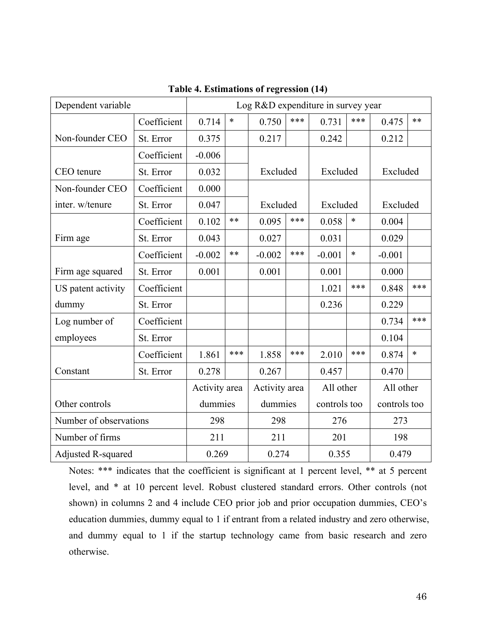| Dependent variable     |             | Log R&D expenditure in survey year |        |               |     |              |        |              |        |
|------------------------|-------------|------------------------------------|--------|---------------|-----|--------------|--------|--------------|--------|
|                        | Coefficient | 0.714                              | $\ast$ | 0.750         | *** | 0.731        | ***    | 0.475        | $***$  |
| Non-founder CEO        | St. Error   | 0.375                              |        | 0.217         |     | 0.242        |        | 0.212        |        |
|                        | Coefficient | $-0.006$                           |        |               |     |              |        |              |        |
| CEO tenure             | St. Error   | 0.032                              |        | Excluded      |     | Excluded     |        | Excluded     |        |
| Non-founder CEO        | Coefficient | 0.000                              |        |               |     |              |        |              |        |
| inter. w/tenure        | St. Error   | 0.047                              |        | Excluded      |     | Excluded     |        | Excluded     |        |
|                        | Coefficient | 0.102                              | **     | 0.095         | *** | 0.058        | $\ast$ | 0.004        |        |
| Firm age               | St. Error   | 0.043                              |        | 0.027         |     | 0.031        |        | 0.029        |        |
|                        | Coefficient | $-0.002$                           | **     | $-0.002$      | *** | $-0.001$     | $\ast$ | $-0.001$     |        |
| Firm age squared       | St. Error   | 0.001                              |        | 0.001         |     | 0.001        |        | 0.000        |        |
| US patent activity     | Coefficient |                                    |        |               |     | 1.021        | ***    | 0.848        | ***    |
| dummy                  | St. Error   |                                    |        |               |     | 0.236        |        | 0.229        |        |
| Log number of          | Coefficient |                                    |        |               |     |              |        | 0.734        | ***    |
| employees              | St. Error   |                                    |        |               |     |              |        | 0.104        |        |
|                        | Coefficient | 1.861                              | ***    | 1.858         | *** | 2.010        | ***    | 0.874        | $\ast$ |
| Constant               | St. Error   | 0.278                              |        | 0.267         |     | 0.457        |        | 0.470        |        |
|                        |             | Activity area                      |        | Activity area |     | All other    |        | All other    |        |
| Other controls         |             | dummies                            |        | dummies       |     | controls too |        | controls too |        |
| Number of observations |             | 298                                |        | 298           |     | 276          |        | 273          |        |
| Number of firms        |             | 211                                |        | 211           |     | 201          |        | 198          |        |
| Adjusted R-squared     |             | 0.269                              |        | 0.274         |     | 0.355        |        | 0.479        |        |

**Table 4. Estimations of regression (14)**

Notes: \*\*\* indicates that the coefficient is significant at 1 percent level, \*\* at 5 percent level, and \* at 10 percent level. Robust clustered standard errors. Other controls (not shown) in columns 2 and 4 include CEO prior job and prior occupation dummies, CEO's education dummies, dummy equal to 1 if entrant from a related industry and zero otherwise, and dummy equal to 1 if the startup technology came from basic research and zero otherwise.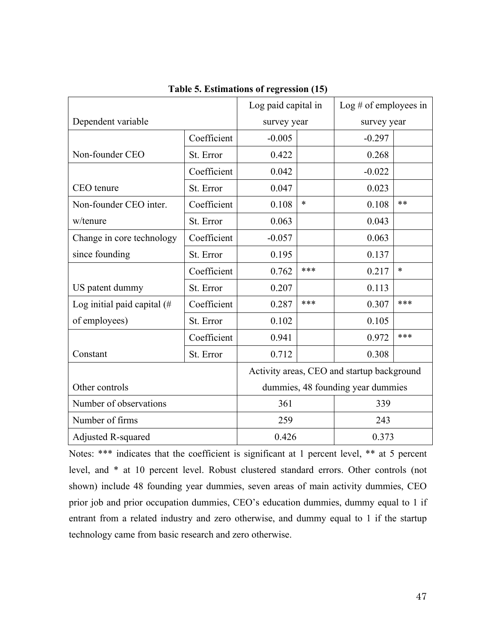|                               |                                   | Log paid capital in<br>$\text{Log}$ # of employees in |        |             |        |  |
|-------------------------------|-----------------------------------|-------------------------------------------------------|--------|-------------|--------|--|
| Dependent variable            |                                   | survey year                                           |        | survey year |        |  |
|                               | Coefficient                       | $-0.005$                                              |        | $-0.297$    |        |  |
| Non-founder CEO               | St. Error                         | 0.422                                                 |        | 0.268       |        |  |
|                               | Coefficient                       | 0.042                                                 |        | $-0.022$    |        |  |
| CEO tenure                    | St. Error                         | 0.047                                                 |        | 0.023       |        |  |
| Non-founder CEO inter.        | Coefficient                       | 0.108                                                 | $\ast$ | 0.108       | $***$  |  |
| w/tenure                      | St. Error                         | 0.063                                                 |        | 0.043       |        |  |
| Change in core technology     | Coefficient                       | $-0.057$                                              |        | 0.063       |        |  |
| since founding                | St. Error                         | 0.195                                                 |        | 0.137       |        |  |
|                               | Coefficient                       | 0.762                                                 | ***    | 0.217       | $\ast$ |  |
| US patent dummy               | St. Error                         | 0.207                                                 |        | 0.113       |        |  |
| Log initial paid capital $#$  | Coefficient                       | 0.287                                                 | ***    | 0.307       | ***    |  |
| of employees)                 | St. Error                         | 0.102                                                 |        | 0.105       |        |  |
|                               | Coefficient                       | 0.941                                                 |        | 0.972       | $***$  |  |
| Constant                      | St. Error                         | 0.712                                                 |        | 0.308       |        |  |
|                               |                                   | Activity areas, CEO and startup background            |        |             |        |  |
| Other controls                | dummies, 48 founding year dummies |                                                       |        |             |        |  |
| Number of observations<br>361 |                                   |                                                       |        |             |        |  |
| Number of firms               |                                   | 259<br>243                                            |        |             |        |  |
| Adjusted R-squared            | 0.426<br>0.373                    |                                                       |        |             |        |  |

**Table 5. Estimations of regression (15)**

Notes: \*\*\* indicates that the coefficient is significant at 1 percent level, \*\* at 5 percent level, and \* at 10 percent level. Robust clustered standard errors. Other controls (not shown) include 48 founding year dummies, seven areas of main activity dummies, CEO prior job and prior occupation dummies, CEO's education dummies, dummy equal to 1 if entrant from a related industry and zero otherwise, and dummy equal to 1 if the startup technology came from basic research and zero otherwise.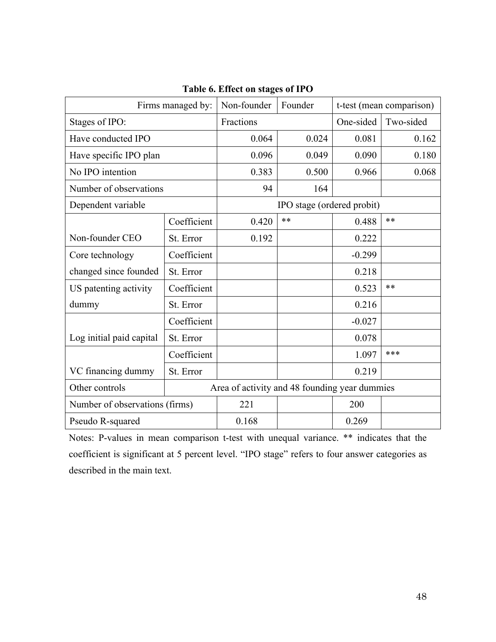| Firms managed by:              |             | Non-founder                                   | Founder                    |           | t-test (mean comparison) |  |  |
|--------------------------------|-------------|-----------------------------------------------|----------------------------|-----------|--------------------------|--|--|
| Stages of IPO:                 | Fractions   |                                               | One-sided                  | Two-sided |                          |  |  |
| Have conducted IPO             |             | 0.064                                         | 0.024                      | 0.081     | 0.162                    |  |  |
| Have specific IPO plan         |             | 0.096                                         | 0.049                      | 0.090     | 0.180                    |  |  |
| No IPO intention               |             | 0.383                                         | 0.500                      | 0.966     | 0.068                    |  |  |
| Number of observations         |             | 94                                            | 164                        |           |                          |  |  |
| Dependent variable             |             |                                               | IPO stage (ordered probit) |           |                          |  |  |
|                                | Coefficient | 0.420                                         | $**$                       | 0.488     | $**$                     |  |  |
| Non-founder CEO                | St. Error   | 0.192                                         |                            | 0.222     |                          |  |  |
| Core technology                | Coefficient |                                               |                            | $-0.299$  |                          |  |  |
| changed since founded          | St. Error   |                                               |                            | 0.218     |                          |  |  |
| US patenting activity          | Coefficient |                                               |                            | 0.523     | $***$                    |  |  |
| dummy                          | St. Error   |                                               |                            | 0.216     |                          |  |  |
|                                | Coefficient |                                               |                            | $-0.027$  |                          |  |  |
| Log initial paid capital       | St. Error   |                                               |                            | 0.078     |                          |  |  |
|                                | Coefficient |                                               |                            | 1.097     | ***                      |  |  |
| VC financing dummy             | St. Error   |                                               |                            | 0.219     |                          |  |  |
| Other controls                 |             | Area of activity and 48 founding year dummies |                            |           |                          |  |  |
| Number of observations (firms) | 221         |                                               | 200                        |           |                          |  |  |
| Pseudo R-squared               |             | 0.168                                         |                            | 0.269     |                          |  |  |

**Table 6. Effect on stages of IPO**

Notes: P-values in mean comparison t-test with unequal variance. \*\* indicates that the coefficient is significant at 5 percent level. "IPO stage" refers to four answer categories as described in the main text.